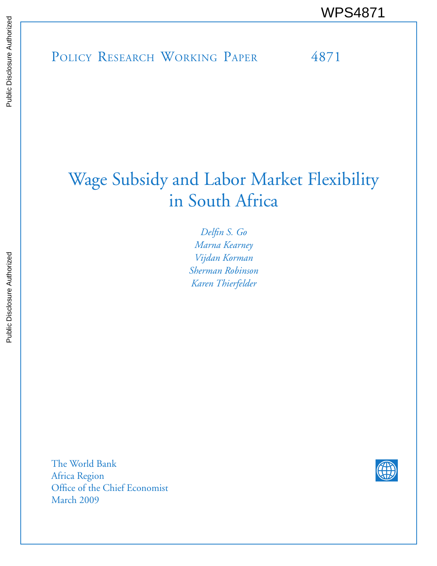# Wage Subsidy and Labor Market Flexibility in South Africa

*Delfin S. Go Marna Kearney Vijdan Korman Sherman Robinson Karen Thierfelder*

The World Bank Africa Region Office of the Chief Economist March 2009

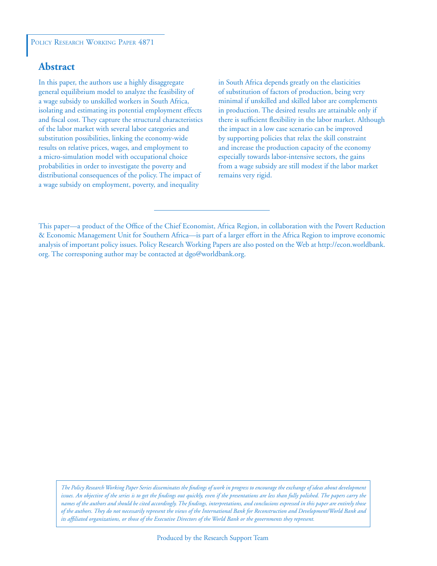# **Abstract**

In this paper, the authors use a highly disaggregate general equilibrium model to analyze the feasibility of a wage subsidy to unskilled workers in South Africa, isolating and estimating its potential employment effects and fiscal cost. They capture the structural characteristics of the labor market with several labor categories and substitution possibilities, linking the economy-wide results on relative prices, wages, and employment to a micro-simulation model with occupational choice probabilities in order to investigate the poverty and distributional consequences of the policy. The impact of a wage subsidy on employment, poverty, and inequality

in South Africa depends greatly on the elasticities of substitution of factors of production, being very minimal if unskilled and skilled labor are complements in production. The desired results are attainable only if there is sufficient flexibility in the labor market. Although the impact in a low case scenario can be improved by supporting policies that relax the skill constraint and increase the production capacity of the economy especially towards labor-intensive sectors, the gains from a wage subsidy are still modest if the labor market remains very rigid.

*The Policy Research Working Paper Series disseminates the findings of work in progress to encourage the exchange of ideas about development*  issues. An objective of the series is to get the findings out quickly, even if the presentations are less than fully polished. The papers carry the *names of the authors and should be cited accordingly. The findings, interpretations, and conclusions expressed in this paper are entirely those of the authors. They do not necessarily represent the views of the International Bank for Reconstruction and Development/World Bank and its affiliated organizations, or those of the Executive Directors of the World Bank or the governments they represent.*

This paper—a product of the Office of the Chief Economist, Africa Region, in collaboration with the Povert Reduction & Economic Management Unit for Southern Africa—is part of a larger effort in the Africa Region to improve economic analysis of important policy issues. Policy Research Working Papers are also posted on the Web at http://econ.worldbank. org. The corresponing author may be contacted at dgo@worldbank.org.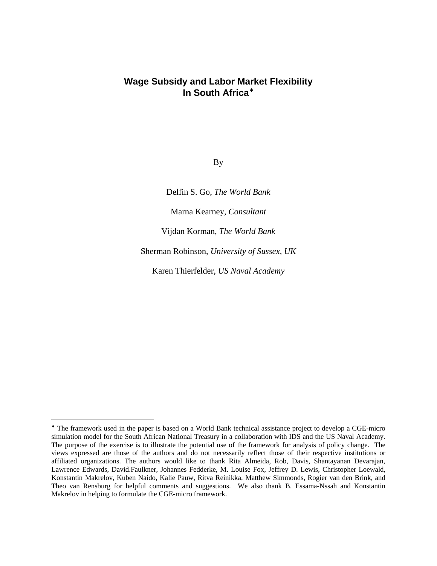# **Wage Subsidy and Labor Mar[k](#page-2-0)et Flexibility In South Africa**

By

Delfin S. Go, *The World Bank* 

Marna Kearney, *Consultant* 

Vijdan Korman, *The World Bank* 

Sherman Robinson, *University of Sussex, UK* 

Karen Thierfelder, *US Naval Academy* 

<span id="page-2-0"></span>The framework used in the paper is based on a World Bank technical assistance project to develop a CGE-micro simulation model for the South African National Treasury in a collaboration with IDS and the US Naval Academy. The purpose of the exercise is to illustrate the potential use of the framework for analysis of policy change. The views expressed are those of the authors and do not necessarily reflect those of their respective institutions or affiliated organizations. The authors would like to thank Rita Almeida, Rob, Davis, Shantayanan Devarajan, Lawrence Edwards, David.Faulkner, Johannes Fedderke, M. Louise Fox, Jeffrey D. Lewis, Christopher Loewald, Konstantin Makrelov, Kuben Naido, Kalie Pauw, Ritva Reinikka, Matthew Simmonds, Rogier van den Brink, and Theo van Rensburg for helpful comments and suggestions. We also thank B. Essama-Nssah and Konstantin Makrelov in helping to formulate the CGE-micro framework.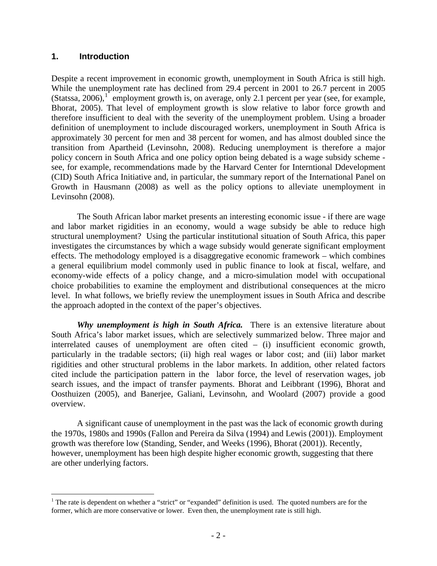# **1. Introduction**

 $\overline{a}$ 

Despite a recent improvement in economic growth, unemployment in South Africa is still high. While the unemployment rate has declined from 29.4 percent in 2001 to 26.7 percent in 2005 (Statssa, 2006),  $1$  employment growth is, on average, only 2.1 percent per year (see, for example, Bhorat, 2005). That level of employment growth is slow relative to labor force growth and therefore insufficient to deal with the severity of the unemployment problem. Using a broader definition of unemployment to include discouraged workers, unemployment in South Africa is approximately 30 percent for men and 38 percent for women, and has almost doubled since the transition from Apartheid (Levinsohn, 2008). Reducing unemployment is therefore a major policy concern in South Africa and one policy option being debated is a wage subsidy scheme see, for example, recommendations made by the Harvard Center for Interntional Ddevelopment (CID) South Africa Initiative and, in particular, the summary report of the International Panel on Growth in Hausmann (2008) as well as the policy options to alleviate unemployment in Levinsohn (2008).

The South African labor market presents an interesting economic issue - if there are wage and labor market rigidities in an economy, would a wage subsidy be able to reduce high structural unemployment? Using the particular institutional situation of South Africa, this paper investigates the circumstances by which a wage subsidy would generate significant employment effects. The methodology employed is a disaggregative economic framework – which combines a general equilibrium model commonly used in public finance to look at fiscal, welfare, and economy-wide effects of a policy change, and a micro-simulation model with occupational choice probabilities to examine the employment and distributional consequences at the micro level. In what follows, we briefly review the unemployment issues in South Africa and describe the approach adopted in the context of the paper's objectives.

*Why unemployment is high in South Africa.* There is an extensive literature about South Africa's labor market issues, which are selectively summarized below. Three major and interrelated causes of unemployment are often cited  $-$  (i) insufficient economic growth, particularly in the tradable sectors; (ii) high real wages or labor cost; and (iii) labor market rigidities and other structural problems in the labor markets. In addition, other related factors cited include the participation pattern in the labor force, the level of reservation wages, job search issues, and the impact of transfer payments. Bhorat and Leibbrant (1996), Bhorat and Oosthuizen (2005), and Banerjee, Galiani, Levinsohn, and Woolard (2007) provide a good overview.

A significant cause of unemployment in the past was the lack of economic growth during the 1970s, 1980s and 1990s (Fallon and Pereira da Silva (1994) and Lewis (2001)). Employment growth was therefore low (Standing, Sender, and Weeks (1996), Bhorat (2001)). Recently, however, unemployment has been high despite higher economic growth, suggesting that there are other underlying factors.

<span id="page-3-0"></span><sup>&</sup>lt;sup>1</sup> The rate is dependent on whether a "strict" or "expanded" definition is used. The quoted numbers are for the former, which are more conservative or lower. Even then, the unemployment rate is still high.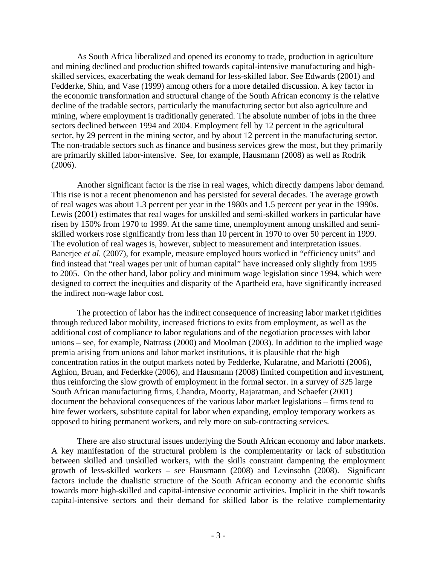As South Africa liberalized and opened its economy to trade, production in agriculture and mining declined and production shifted towards capital-intensive manufacturing and highskilled services, exacerbating the weak demand for less-skilled labor. See Edwards (2001) and Fedderke, Shin, and Vase (1999) among others for a more detailed discussion. A key factor in the economic transformation and structural change of the South African economy is the relative decline of the tradable sectors, particularly the manufacturing sector but also agriculture and mining, where employment is traditionally generated. The absolute number of jobs in the three sectors declined between 1994 and 2004. Employment fell by 12 percent in the agricultural sector, by 29 percent in the mining sector, and by about 12 percent in the manufacturing sector. The non-tradable sectors such as finance and business services grew the most, but they primarily are primarily skilled labor-intensive. See, for example, Hausmann (2008) as well as Rodrik (2006).

Another significant factor is the rise in real wages, which directly dampens labor demand. This rise is not a recent phenomenon and has persisted for several decades. The average growth of real wages was about 1.3 percent per year in the 1980s and 1.5 percent per year in the 1990s. Lewis (2001) estimates that real wages for unskilled and semi-skilled workers in particular have risen by 150% from 1970 to 1999. At the same time, unemployment among unskilled and semiskilled workers rose significantly from less than 10 percent in 1970 to over 50 percent in 1999. The evolution of real wages is, however, subject to measurement and interpretation issues. Banerjee *et al.* (2007), for example, measure employed hours worked in "efficiency units" and find instead that "real wages per unit of human capital" have increased only slightly from 1995 to 2005. On the other hand, labor policy and minimum wage legislation since 1994, which were designed to correct the inequities and disparity of the Apartheid era, have significantly increased the indirect non-wage labor cost.

The protection of labor has the indirect consequence of increasing labor market rigidities through reduced labor mobility, increased frictions to exits from employment, as well as the additional cost of compliance to labor regulations and of the negotiation processes with labor unions – see, for example, Nattrass (2000) and Moolman (2003). In addition to the implied wage premia arising from unions and labor market institutions, it is plausible that the high concentration ratios in the output markets noted by Fedderke, Kularatne, and Mariotti (2006), Aghion, Bruan, and Federkke (2006), and Hausmann (2008) limited competition and investment, thus reinforcing the slow growth of employment in the formal sector. In a survey of 325 large South African manufacturing firms, Chandra, Moorty, Rajaratman, and Schaefer (2001) document the behavioral consequences of the various labor market legislations – firms tend to hire fewer workers, substitute capital for labor when expanding, employ temporary workers as opposed to hiring permanent workers, and rely more on sub-contracting services.

There are also structural issues underlying the South African economy and labor markets. A key manifestation of the structural problem is the complementarity or lack of substitution between skilled and unskilled workers, with the skills constraint dampening the employment growth of less-skilled workers – see Hausmann (2008) and Levinsohn (2008). Significant factors include the dualistic structure of the South African economy and the economic shifts towards more high-skilled and capital-intensive economic activities. Implicit in the shift towards capital-intensive sectors and their demand for skilled labor is the relative complementarity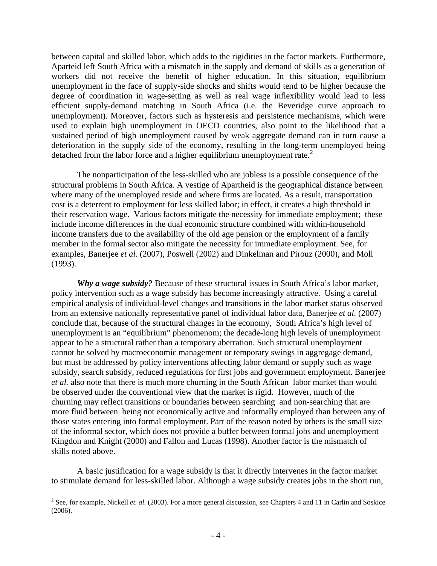between capital and skilled labor, which adds to the rigidities in the factor markets. Furthermore, Aparteid left South Africa with a mismatch in the supply and demand of skills as a generation of workers did not receive the benefit of higher education. In this situation, equilibrium unemployment in the face of supply-side shocks and shifts would tend to be higher because the degree of coordination in wage-setting as well as real wage inflexibility would lead to less efficient supply-demand matching in South Africa (i.e. the Beveridge curve approach to unemployment). Moreover, factors such as hysteresis and persistence mechanisms, which were used to explain high unemployment in OECD countries, also point to the likelihood that a sustained period of high unemployment caused by weak aggregate demand can in turn cause a deterioration in the supply side of the economy, resulting in the long-term unemployed being detached from the labor force and a higher equilibrium unemployment rate.<sup>[2](#page-5-0)</sup>

The nonparticipation of the less-skilled who are jobless is a possible consequence of the structural problems in South Africa. A vestige of Apartheid is the geographical distance between where many of the unemployed reside and where firms are located. As a result, transportation cost is a deterrent to employment for less skilled labor; in effect, it creates a high threshold in their reservation wage. Various factors mitigate the necessity for immediate employment; these include income differences in the dual economic structure combined with within-household income transfers due to the availability of the old age pension or the employment of a family member in the formal sector also mitigate the necessity for immediate employment. See, for examples, Banerjee *et al.* (2007), Poswell (2002) and Dinkelman and Pirouz (2000), and Moll (1993).

*Why a wage subsidy?* Because of these structural issues in South Africa's labor market, policy intervention such as a wage subsidy has become increasingly attractive. Using a careful empirical analysis of individual-level changes and transitions in the labor market status observed from an extensive nationally representative panel of individual labor data, Banerjee *et al.* (2007) conclude that, because of the structural changes in the economy, South Africa's high level of unemployment is an "equilibrium" phenomenom; the decade-long high levels of unemployment appear to be a structural rather than a temporary aberration. Such structural unemployment cannot be solved by macroeconomic management or temporary swings in aggregage demand, but must be addressed by policy interventions affecting labor demand or supply such as wage subsidy, search subsidy, reduced regulations for first jobs and government employment. Banerjee *et al.* also note that there is much more churning in the South African labor market than would be observed under the conventional view that the market is rigid. However, much of the churning may reflect transitions or boundaries between searching and non-searching that are more fluid between being not economically active and informally employed than between any of those states entering into formal employment. Part of the reason noted by others is the small size of the informal sector, which does not provide a buffer between formal jobs and unemployment – Kingdon and Knight (2000) and Fallon and Lucas (1998). Another factor is the mismatch of skills noted above.

A basic justification for a wage subsidy is that it directly intervenes in the factor market to stimulate demand for less-skilled labor. Although a wage subsidy creates jobs in the short run,

<span id="page-5-0"></span><sup>&</sup>lt;sup>2</sup> See, for example, Nickell *et. al.* (2003). For a more general discussion, see Chapters 4 and 11 in Carlin and Soskice (2006).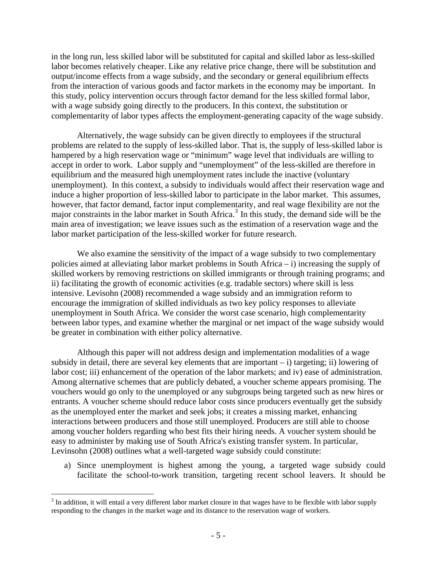in the long run, less skilled labor will be substituted for capital and skilled labor as less-skilled labor becomes relatively cheaper. Like any relative price change, there will be substitution and output/income effects from a wage subsidy, and the secondary or general equilibrium effects from the interaction of various goods and factor markets in the economy may be important. In this study, policy intervention occurs through factor demand for the less skilled formal labor, with a wage subsidy going directly to the producers. In this context, the substitution or complementarity of labor types affects the employment-generating capacity of the wage subsidy.

Alternatively, the wage subsidy can be given directly to employees if the structural problems are related to the supply of less-skilled labor. That is, the supply of less-skilled labor is hampered by a high reservation wage or "minimum" wage level that individuals are willing to accept in order to work. Labor supply and "unemployment" of the less-skilled are therefore in equilibrium and the measured high unemployment rates include the inactive (voluntary unemployment). In this context, a subsidy to individuals would affect their reservation wage and induce a higher proportion of less-skilled labor to participate in the labor market. This assumes, however, that factor demand, factor input complementarity, and real wage flexibility are not the major constraints in the labor market in South Africa.<sup>[3](#page-6-0)</sup> In this study, the demand side will be the main area of investigation; we leave issues such as the estimation of a reservation wage and the labor market participation of the less-skilled worker for future research.

We also examine the sensitivity of the impact of a wage subsidy to two complementary policies aimed at alleviating labor market problems in South Africa – i) increasing the supply of skilled workers by removing restrictions on skilled immigrants or through training programs; and ii) facilitating the growth of economic activities (e.g. tradable sectors) where skill is less intensive. Levisohn (2008) recommended a wage subsidy and an immigration reform to encourage the immigration of skilled individuals as two key policy responses to alleviate unemployment in South Africa. We consider the worst case scenario, high complementarity between labor types, and examine whether the marginal or net impact of the wage subsidy would be greater in combination with either policy alternative.

Although this paper will not address design and implementation modalities of a wage subsidy in detail, there are several key elements that are important  $-$  i) targeting; ii) lowering of labor cost; iii) enhancement of the operation of the labor markets; and iv) ease of administration. Among alternative schemes that are publicly debated, a voucher scheme appears promising. The vouchers would go only to the unemployed or any subgroups being targeted such as new hires or entrants. A voucher scheme should reduce labor costs since producers eventually get the subsidy as the unemployed enter the market and seek jobs; it creates a missing market, enhancing interactions between producers and those still unemployed. Producers are still able to choose among voucher holders regarding who best fits their hiring needs. A voucher system should be easy to administer by making use of South Africa's existing transfer system. In particular, Levinsohn (2008) outlines what a well-targeted wage subsidy could constitute:

a) Since unemployment is highest among the young, a targeted wage subsidy could facilitate the school-to-work transition, targeting recent school leavers. It should be

<span id="page-6-0"></span> $3$  In addition, it will entail a very different labor market closure in that wages have to be flexible with labor supply responding to the changes in the market wage and its distance to the reservation wage of workers.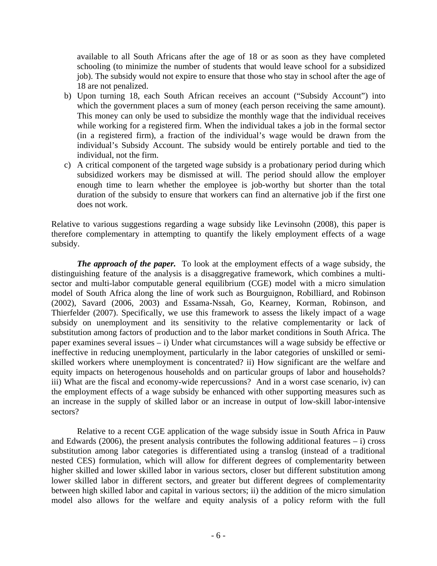available to all South Africans after the age of 18 or as soon as they have completed schooling (to minimize the number of students that would leave school for a subsidized job). The subsidy would not expire to ensure that those who stay in school after the age of 18 are not penalized.

- b) Upon turning 18, each South African receives an account ("Subsidy Account") into which the government places a sum of money (each person receiving the same amount). This money can only be used to subsidize the monthly wage that the individual receives while working for a registered firm. When the individual takes a job in the formal sector (in a registered firm), a fraction of the individual's wage would be drawn from the individual's Subsidy Account. The subsidy would be entirely portable and tied to the individual, not the firm.
- c) A critical component of the targeted wage subsidy is a probationary period during which subsidized workers may be dismissed at will. The period should allow the employer enough time to learn whether the employee is job-worthy but shorter than the total duration of the subsidy to ensure that workers can find an alternative job if the first one does not work.

Relative to various suggestions regarding a wage subsidy like Levinsohn (2008), this paper is therefore complementary in attempting to quantify the likely employment effects of a wage subsidy.

*The approach of the paper.* To look at the employment effects of a wage subsidy, the distinguishing feature of the analysis is a disaggregative framework, which combines a multisector and multi-labor computable general equilibrium (CGE) model with a micro simulation model of South Africa along the line of work such as Bourguignon, Robilliard, and Robinson (2002), Savard (2006, 2003) and Essama-Nssah, Go, Kearney, Korman, Robinson, and Thierfelder (2007). Specifically, we use this framework to assess the likely impact of a wage subsidy on unemployment and its sensitivity to the relative complementarity or lack of substitution among factors of production and to the labor market conditions in South Africa. The paper examines several issues – i) Under what circumstances will a wage subsidy be effective or ineffective in reducing unemployment, particularly in the labor categories of unskilled or semiskilled workers where unemployment is concentrated? ii) How significant are the welfare and equity impacts on heterogenous households and on particular groups of labor and households? iii) What are the fiscal and economy-wide repercussions? And in a worst case scenario, iv) can the employment effects of a wage subsidy be enhanced with other supporting measures such as an increase in the supply of skilled labor or an increase in output of low-skill labor-intensive sectors?

Relative to a recent CGE application of the wage subsidy issue in South Africa in Pauw and Edwards (2006), the present analysis contributes the following additional features  $-$  i) cross substitution among labor categories is differentiated using a translog (instead of a traditional nested CES) formulation, which will allow for different degrees of complementarity between higher skilled and lower skilled labor in various sectors, closer but different substitution among lower skilled labor in different sectors, and greater but different degrees of complementarity between high skilled labor and capital in various sectors; ii) the addition of the micro simulation model also allows for the welfare and equity analysis of a policy reform with the full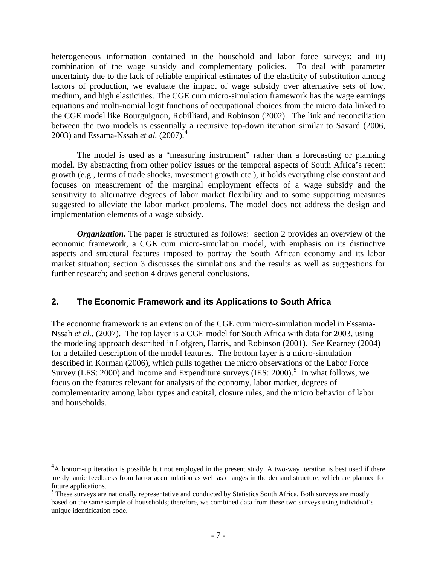heterogeneous information contained in the household and labor force surveys; and iii) combination of the wage subsidy and complementary policies. To deal with parameter uncertainty due to the lack of reliable empirical estimates of the elasticity of substitution among factors of production, we evaluate the impact of wage subsidy over alternative sets of low, medium, and high elasticities. The CGE cum micro-simulation framework has the wage earnings equations and multi-nomial logit functions of occupational choices from the micro data linked to the CGE model like Bourguignon, Robilliard, and Robinson (2002). The link and reconciliation between the two models is essentially a recursive top-down iteration similar to Savard (2006, 2003) and Essama-Nssah *et al.* (2007).[4](#page-8-0)

 The model is used as a "measuring instrument" rather than a forecasting or planning model. By abstracting from other policy issues or the temporal aspects of South Africa's recent growth (e.g., terms of trade shocks, investment growth etc.), it holds everything else constant and focuses on measurement of the marginal employment effects of a wage subsidy and the sensitivity to alternative degrees of labor market flexibility and to some supporting measures suggested to alleviate the labor market problems. The model does not address the design and implementation elements of a wage subsidy.

*Organization.* The paper is structured as follows: section 2 provides an overview of the economic framework, a CGE cum micro-simulation model, with emphasis on its distinctive aspects and structural features imposed to portray the South African economy and its labor market situation; section 3 discusses the simulations and the results as well as suggestions for further research; and section 4 draws general conclusions.

# **2. The Economic Framework and its Applications to South Africa**

The economic framework is an extension of the CGE cum micro-simulation model in Essama-Nssah *et al.*, (2007). The top layer is a CGE model for South Africa with data for 2003, using the modeling approach described in Lofgren, Harris, and Robinson (2001). See Kearney (2004) for a detailed description of the model features. The bottom layer is a micro-simulation described in Korman (2006), which pulls together the micro observations of the Labor Force Survey (LFS: 2000) and Income and Expenditure surveys (IES: 2000).<sup>[5](#page-8-1)</sup> In what follows, we focus on the features relevant for analysis of the economy, labor market, degrees of complementarity among labor types and capital, closure rules, and the micro behavior of labor and households.

<span id="page-8-0"></span> $^{4}$ A bottom-up iteration is possible but not employed in the present study. A two-way iteration is best used if there are dynamic feedbacks from factor accumulation as well as changes in the demand structure, which are planned for future applications.

<span id="page-8-1"></span><sup>&</sup>lt;sup>5</sup> These surveys are nationally representative and conducted by Statistics South Africa. Both surveys are mostly based on the same sample of households; therefore, we combined data from these two surveys using individual's unique identification code.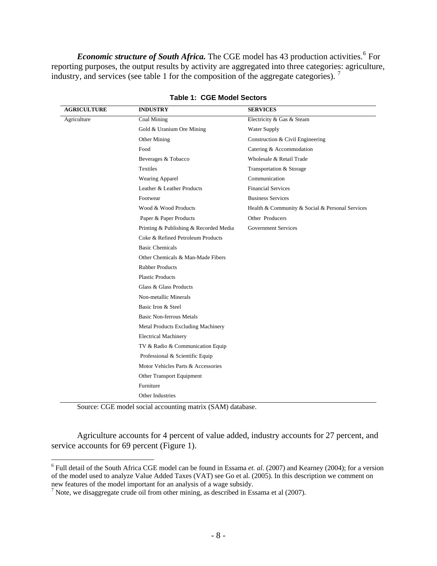*Economic structure of South Africa*. The CGE model has 43 production activities.<sup>[6](#page-9-0)</sup> For reporting purposes, the output results by activity are aggregated into three categories: agriculture, industry, and services (see table 1 for the composition of the aggregate categories). [7](#page-9-1)

| <b>AGRICULTURE</b> | <b>INDUSTRY</b>                        | <b>SERVICES</b>                                 |
|--------------------|----------------------------------------|-------------------------------------------------|
| Agriculture        | Coal Mining                            | Electricity & Gas & Steam                       |
|                    | Gold & Uranium Ore Mining              | <b>Water Supply</b>                             |
|                    | Other Mining                           | Construction & Civil Engineering                |
|                    | Food                                   | Catering & Accommodation                        |
|                    | Beverages & Tobacco                    | Wholesale & Retail Trade                        |
|                    | <b>Textiles</b>                        | Transportation & Storage                        |
|                    | Wearing Apparel                        | Communication                                   |
|                    | Leather & Leather Products             | <b>Financial Services</b>                       |
|                    | Footwear                               | <b>Business Services</b>                        |
|                    | Wood & Wood Products                   | Health & Community & Social & Personal Services |
|                    | Paper & Paper Products                 | Other Producers                                 |
|                    | Printing & Publishing & Recorded Media | <b>Government Services</b>                      |
|                    | Coke & Refined Petroleum Products      |                                                 |
|                    | <b>Basic Chemicals</b>                 |                                                 |
|                    | Other Chemicals & Man-Made Fibers      |                                                 |
|                    | <b>Rubber Products</b>                 |                                                 |
|                    | <b>Plastic Products</b>                |                                                 |
|                    | Glass & Glass Products                 |                                                 |
|                    | Non-metallic Minerals                  |                                                 |
|                    | Basic Iron & Steel                     |                                                 |
|                    | <b>Basic Non-ferrous Metals</b>        |                                                 |
|                    | Metal Products Excluding Machinery     |                                                 |
|                    | <b>Electrical Machinery</b>            |                                                 |
|                    | TV & Radio & Communication Equip       |                                                 |
|                    | Professional & Scientific Equip        |                                                 |
|                    | Motor Vehicles Parts & Accessories     |                                                 |
|                    | Other Transport Equipment              |                                                 |
|                    | Furniture                              |                                                 |
|                    | Other Industries                       |                                                 |

**Table 1: CGE Model Sectors** 

Source: CGE model social accounting matrix (SAM) database.

 $\overline{a}$ 

Agriculture accounts for 4 percent of value added, industry accounts for 27 percent, and service accounts for 69 percent (Figure 1).

<span id="page-9-0"></span><sup>&</sup>lt;sup>6</sup> Full detail of the South Africa CGE model can be found in Essama *et. al.* (2007) and Kearney (2004); for a version of the model used to analyze Value Added Taxes (VAT) see Go et al. (2005). In this description we comment on new features of the model important for an analysis of a wage subsidy.

<span id="page-9-1"></span><sup>&</sup>lt;sup>7</sup> Note, we disaggregate crude oil from other mining, as described in Essama et al (2007).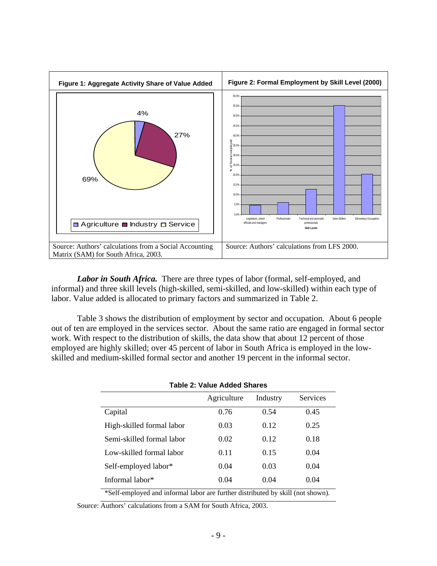

*Labor in South Africa.* There are three types of labor (formal, self-employed, and informal) and three skill levels (high-skilled, semi-skilled, and low-skilled) within each type of labor. Value added is allocated to primary factors and summarized in Table 2.

Table 3 shows the distribution of employment by sector and occupation. About 6 people out of ten are employed in the services sector. About the same ratio are engaged in formal sector work. With respect to the distribution of skills, the data show that about 12 percent of those employed are highly skilled; over 45 percent of labor in South Africa is employed in the lowskilled and medium-skilled formal sector and another 19 percent in the informal sector.

| <b>Table 2: Value Added Shares</b>                                                 |             |          |          |  |  |
|------------------------------------------------------------------------------------|-------------|----------|----------|--|--|
|                                                                                    | Agriculture | Industry | Services |  |  |
| Capital                                                                            | 0.76        | 0.54     | 0.45     |  |  |
| High-skilled formal labor                                                          | 0.03        | 0.12     | 0.25     |  |  |
| Semi-skilled formal labor                                                          | 0.02        | 0.12     | 0.18     |  |  |
| Low-skilled formal labor                                                           | 0.11        | 0.15     | 0.04     |  |  |
| Self-employed labor*                                                               | 0.04        | 0.03     | 0.04     |  |  |
| Informal labor*                                                                    | 0.04        | 0.04     | 0.04     |  |  |
| $\&$ Calf employed and informal labor are further distributed by skill (not shown) |             |          |          |  |  |

\*Self-employed and informal labor are further distributed by skill (not shown).

Source: Authors' calculations from a SAM for South Africa, 2003.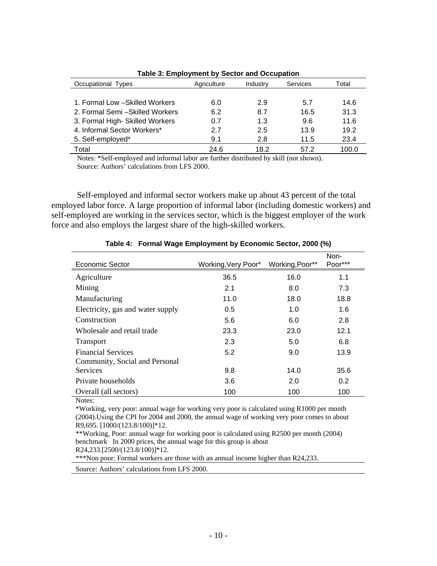| Occupational Types               | Agriculture | Industry | Services | Total |
|----------------------------------|-------------|----------|----------|-------|
|                                  |             |          |          |       |
| 1. Formal Low - Skilled Workers  | 6.0         | 2.9      | 5.7      | 14.6  |
| 2. Formal Semi - Skilled Workers | 6.2         | 8.7      | 16.5     | 31.3  |
| 3. Formal High- Skilled Workers  | 0.7         | 1.3      | 96       | 11.6  |
| 4. Informal Sector Workers*      | 2.7         | 2.5      | 13.9     | 19.2  |
| 5. Self-employed*                | 9.1         | 2.8      | 11.5     | 23.4  |
| Total                            | 24.6        | 18.2     | 57.2     | 100.0 |

**Table 3: Employment by Sector and Occupation** 

Notes: \*Self-employed and informal labor are further distributed by skill (not shown). Source: Authors' calculations from LFS 2000.

Self-employed and informal sector workers make up about 43 percent of the total employed labor force. A large proportion of informal labor (including domestic workers) and self-employed are working in the services sector, which is the biggest employer of the work force and also employs the largest share of the high-skilled workers.

| <b>Economic Sector</b>            | Working, Very Poor* | Working, Poor** | Non-<br>Poor*** |
|-----------------------------------|---------------------|-----------------|-----------------|
| Agriculture                       | 36.5                | 16.0            | 1.1             |
| Mining                            | 2.1                 | 8.0             | 7.3             |
| Manufacturing                     | 11.0                | 18.0            | 18.8            |
| Electricity, gas and water supply | 0.5                 | 1.0             | 1.6             |
| Construction                      | 5.6                 | 6.0             | 2.8             |
| Wholesale and retail trade        | 23.3                | 23.0            | 12.1            |
| <b>Transport</b>                  | 2.3                 | 5.0             | 6.8             |
| <b>Financial Services</b>         | 5.2                 | 9.0             | 13.9            |
| Community, Social and Personal    |                     |                 |                 |
| Services                          | 9.8                 | 14.0            | 35.6            |
| Private households                | 3.6                 | 2.0             | 0.2             |
| Overall (all sectors)             | 100                 | 100             | 100             |

#### **Table 4: Formal Wage Employment by Economic Sector, 2000 (%)**

Notes:

\*Working, very poor: annual wage for working very poor is calculated using R1000 per month (2004).Using the CPI for 2004 and 2000, the annual wage of working very poor comes to about R9,695. [1000/(123.8/100)]\*12.

\*\*Working, Poor: annual wage for working poor is calculated using R2500 per month (2004) benchmark In 2000 prices, the annual wage for this group is about R24,233.[2500/(123.8/100)]\*12. \*\*\*Non poor: Formal workers are those with an annual income higher than R24,233.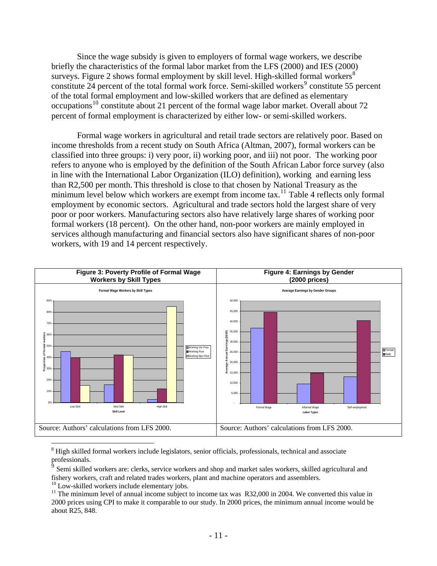Since the wage subsidy is given to employers of formal wage workers, we describe briefly the characteristics of the formal labor market from the LFS (2000) and IES (2000) surveys. Figure 2 shows formal employment by skill level. High-skilled formal workers $^8$  $^8$ constitute  $24$  percent of the total formal work force. Semi-skilled workers<sup>[9](#page-12-1)</sup> constitute 55 percent of the total formal employment and low-skilled workers that are defined as elementary occupations<sup>[10](#page-12-2)</sup> constitute about 21 percent of the formal wage labor market. Overall about 72 percent of formal employment is characterized by either low- or semi-skilled workers.

Formal wage workers in agricultural and retail trade sectors are relatively poor. Based on income thresholds from a recent study on South Africa (Altman, 2007), formal workers can be classified into three groups: i) very poor, ii) working poor, and iii) not poor. The working poor refers to anyone who is employed by the definition of the South African Labor force survey (also in line with the International Labor Organization (ILO) definition), working and earning less than R2,500 per month. This threshold is close to that chosen by National Treasury as the minimum level below which workers are exempt from income tax.<sup>[11](#page-12-3)</sup> Table 4 reflects only formal employment by economic sectors. Agricultural and trade sectors hold the largest share of very poor or poor workers. Manufacturing sectors also have relatively large shares of working poor formal workers (18 percent). On the other hand, non-poor workers are mainly employed in services although manufacturing and financial sectors also have significant shares of non-poor workers, with 19 and 14 percent respectively.



<span id="page-12-0"></span><sup>8</sup> High skilled formal workers include legislators, senior officials, professionals, technical and associate professionals.

<span id="page-12-1"></span><sup>9</sup> Semi skilled workers are: clerks, service workers and shop and market sales workers, skilled agricultural and fishery workers, craft and related trades workers, plant and machine operators and assemblers. 10 Low-skilled workers include elementary jobs.

<span id="page-12-3"></span><span id="page-12-2"></span> $11$  The minimum level of annual income subject to income tax was R32,000 in 2004. We converted this value in 2000 prices using CPI to make it comparable to our study. In 2000 prices, the minimum annual income would be about R25, 848.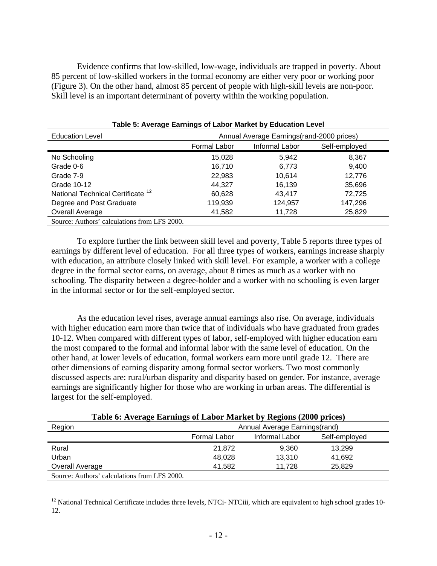Evidence confirms that low-skilled, low-wage, individuals are trapped in poverty. About 85 percent of low-skilled workers in the formal economy are either very poor or working poor (Figure 3). On the other hand, almost 85 percent of people with high-skill levels are non-poor. Skill level is an important determinant of poverty within the working population.

| <b>Education Level</b>                       | Annual Average Earnings (rand-2000 prices) |                |               |  |  |  |  |
|----------------------------------------------|--------------------------------------------|----------------|---------------|--|--|--|--|
|                                              | Formal Labor                               | Informal Labor | Self-employed |  |  |  |  |
| No Schooling                                 | 15,028                                     | 5,942          | 8,367         |  |  |  |  |
| Grade 0-6                                    | 16.710                                     | 6.773          | 9,400         |  |  |  |  |
| Grade 7-9                                    | 22,983                                     | 10,614         | 12,776        |  |  |  |  |
| Grade 10-12                                  | 44.327                                     | 16,139         | 35,696        |  |  |  |  |
| National Technical Certificate <sup>12</sup> | 60,628                                     | 43.417         | 72.725        |  |  |  |  |
| Degree and Post Graduate                     | 119,939                                    | 124,957        | 147,296       |  |  |  |  |
| Overall Average                              | 41,582                                     | 11,728         | 25,829        |  |  |  |  |
| Source: Authors' calculations from LFS 2000. |                                            |                |               |  |  |  |  |

**Table 5: Average Earnings of Labor Market by Education Level** 

To explore further the link between skill level and poverty, Table 5 reports three types of earnings by different level of education. For all three types of workers, earnings increase sharply with education, an attribute closely linked with skill level. For example, a worker with a college degree in the formal sector earns, on average, about 8 times as much as a worker with no schooling. The disparity between a degree-holder and a worker with no schooling is even larger in the informal sector or for the self-employed sector.

As the education level rises, average annual earnings also rise. On average, individuals with higher education earn more than twice that of individuals who have graduated from grades 10-12. When compared with different types of labor, self-employed with higher education earn the most compared to the formal and informal labor with the same level of education. On the other hand, at lower levels of education, formal workers earn more until grade 12. There are other dimensions of earning disparity among formal sector workers. Two most commonly discussed aspects are: rural/urban disparity and disparity based on gender. For instance, average earnings are significantly higher for those who are working in urban areas. The differential is largest for the self-employed.

|  |  |  | Table 6: Average Earnings of Labor Market by Regions (2000 prices) |  |
|--|--|--|--------------------------------------------------------------------|--|
|  |  |  |                                                                    |  |

| Region                                       | Annual Average Earnings(rand) |                |               |  |  |
|----------------------------------------------|-------------------------------|----------------|---------------|--|--|
|                                              | Formal Labor                  | Informal Labor | Self-employed |  |  |
| Rural                                        | 21,872                        | 9,360          | 13,299        |  |  |
| Urban                                        | 48,028                        | 13,310         | 41,692        |  |  |
| Overall Average                              | 41.582                        | 11.728         | 25,829        |  |  |
| Source: Authors' calculations from LFS 2000. |                               |                |               |  |  |

<span id="page-13-0"></span> $12$  National Technical Certificate includes three levels, NTCi- NTCiii, which are equivalent to high school grades 10-12.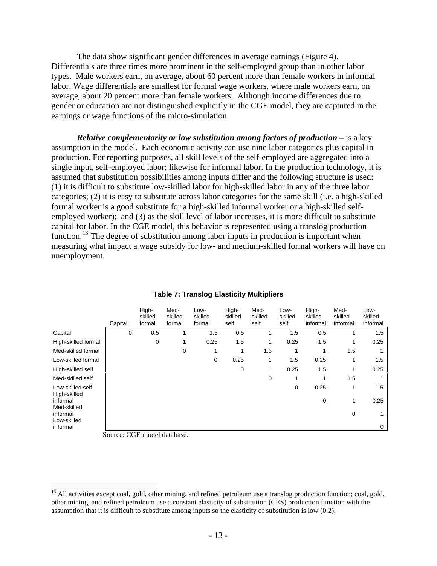The data show significant gender differences in average earnings (Figure 4). Differentials are three times more prominent in the self-employed group than in other labor types. Male workers earn, on average, about 60 percent more than female workers in informal labor. Wage differentials are smallest for formal wage workers, where male workers earn, on average, about 20 percent more than female workers. Although income differences due to gender or education are not distinguished explicitly in the CGE model, they are captured in the earnings or wage functions of the micro-simulation.

*Relative complementarity or low substitution among factors of production –* is a key assumption in the model.Each economic activity can use nine labor categories plus capital in production. For reporting purposes, all skill levels of the self-employed are aggregated into a single input, self-employed labor; likewise for informal labor. In the production technology, it is assumed that substitution possibilities among inputs differ and the following structure is used: (1) it is difficult to substitute low-skilled labor for high-skilled labor in any of the three labor categories; (2) it is easy to substitute across labor categories for the same skill (i.e. a high-skilled formal worker is a good substitute for a high-skilled informal worker or a high-skilled selfemployed worker); and (3) as the skill level of labor increases, it is more difficult to substitute capital for labor. In the CGE model, this behavior is represented using a translog production function.<sup>[13](#page-14-0)</sup> The degree of substitution among labor inputs in production is important when measuring what impact a wage subsidy for low- and medium-skilled formal workers will have on unemployment.

|                                  | Capital | High-<br>skilled<br>formal | Med-<br>skilled<br>formal | Low-<br>skilled<br>formal | High-<br>skilled<br>self | Med-<br>skilled<br>self | Low-<br>skilled<br>self | High-<br>skilled<br>informal | Med-<br>skilled<br>informal | Low-<br>skilled<br>informal |
|----------------------------------|---------|----------------------------|---------------------------|---------------------------|--------------------------|-------------------------|-------------------------|------------------------------|-----------------------------|-----------------------------|
| Capital                          | 0       | 0.5                        |                           | 1.5                       | 0.5                      |                         | 1.5                     | 0.5                          |                             | 1.5                         |
| High-skilled formal              |         | 0                          | 1                         | 0.25                      | 1.5                      | 1                       | 0.25                    | 1.5                          | 1                           | 0.25                        |
| Med-skilled formal               |         |                            | 0                         | 1                         |                          | 1.5                     | 1                       |                              | 1.5                         |                             |
| Low-skilled formal               |         |                            |                           | 0                         | 0.25                     | 1                       | 1.5                     | 0.25                         |                             | 1.5                         |
| High-skilled self                |         |                            |                           |                           | 0                        | 1                       | 0.25                    | 1.5                          | 1                           | 0.25                        |
| Med-skilled self                 |         |                            |                           |                           |                          | 0                       | 1                       | 1                            | 1.5                         |                             |
| Low-skilled self<br>High-skilled |         |                            |                           |                           |                          |                         | 0                       | 0.25                         | 1                           | 1.5                         |
| informal<br>Med-skilled          |         |                            |                           |                           |                          |                         |                         | 0                            | 1                           | 0.25                        |
| informal                         |         |                            |                           |                           |                          |                         |                         |                              | 0                           | 1                           |
| Low-skilled<br>informal          |         |                            |                           |                           |                          |                         |                         |                              |                             | $\mathbf 0$                 |

#### **Table 7: Translog Elasticity Multipliers**

Source: CGE model database.

<span id="page-14-0"></span><sup>&</sup>lt;sup>13</sup> All activities except coal, gold, other mining, and refined petroleum use a translog production function; coal, gold, other mining, and refined petroleum use a constant elasticity of substitution (CES) production function with the assumption that it is difficult to substitute among inputs so the elasticity of substitution is low (0.2).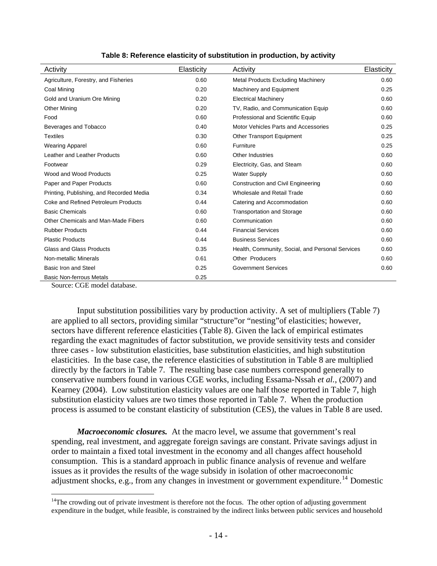| Activity                                 | Elasticity | Activity                                         | <b>Elasticity</b> |
|------------------------------------------|------------|--------------------------------------------------|-------------------|
| Agriculture, Forestry, and Fisheries     | 0.60       | <b>Metal Products Excluding Machinery</b>        | 0.60              |
| Coal Mining                              | 0.20       | Machinery and Equipment                          | 0.25              |
| Gold and Uranium Ore Mining              | 0.20       | <b>Electrical Machinery</b>                      | 0.60              |
| <b>Other Mining</b>                      | 0.20       | TV, Radio, and Communication Equip               | 0.60              |
| Food                                     | 0.60       | Professional and Scientific Equip                | 0.60              |
| Beverages and Tobacco                    | 0.40       | Motor Vehicles Parts and Accessories             | 0.25              |
| <b>Textiles</b>                          | 0.30       | <b>Other Transport Equipment</b>                 | 0.25              |
| <b>Wearing Apparel</b>                   | 0.60       | Furniture                                        | 0.25              |
| Leather and Leather Products             | 0.60       | Other Industries                                 | 0.60              |
| Footwear                                 | 0.29       | Electricity, Gas, and Steam                      | 0.60              |
| Wood and Wood Products                   | 0.25       | <b>Water Supply</b>                              | 0.60              |
| Paper and Paper Products                 | 0.60       | <b>Construction and Civil Engineering</b>        | 0.60              |
| Printing, Publishing, and Recorded Media | 0.34       | Wholesale and Retail Trade                       | 0.60              |
| Coke and Refined Petroleum Products      | 0.44       | Catering and Accommodation                       | 0.60              |
| <b>Basic Chemicals</b>                   | 0.60       | <b>Transportation and Storage</b>                | 0.60              |
| Other Chemicals and Man-Made Fibers      | 0.60       | Communication                                    | 0.60              |
| <b>Rubber Products</b>                   | 0.44       | <b>Financial Services</b>                        | 0.60              |
| <b>Plastic Products</b>                  | 0.44       | <b>Business Services</b>                         | 0.60              |
| Glass and Glass Products                 | 0.35       | Health, Community, Social, and Personal Services | 0.60              |
| Non-metallic Minerals                    | 0.61       | Other Producers                                  | 0.60              |
| Basic Iron and Steel                     | 0.25       | <b>Government Services</b>                       | 0.60              |
| Basic Non-ferrous Metals                 | 0.25       |                                                  |                   |

| Table 8: Reference elasticity of substitution in production, by activity |  |  |  |
|--------------------------------------------------------------------------|--|--|--|
|                                                                          |  |  |  |

Source: CGE model database.

 $\overline{a}$ 

Input substitution possibilities vary by production activity. A set of multipliers (Table 7) are applied to all sectors, providing similar "structure"or "nesting"of elasticities; however, sectors have different reference elasticities (Table 8). Given the lack of empirical estimates regarding the exact magnitudes of factor substitution, we provide sensitivity tests and consider three cases - low substitution elasticities, base substitution elasticities, and high substitution elasticities. In the base case, the reference elasticities of substitution in Table 8 are multiplied directly by the factors in Table 7. The resulting base case numbers correspond generally to conservative numbers found in various CGE works, including Essama-Nssah *et al.*, (2007) and Kearney (2004). Low substitution elasticity values are one half those reported in Table 7, high substitution elasticity values are two times those reported in Table 7. When the production process is assumed to be constant elasticity of substitution (CES), the values in Table 8 are used.

*Macroeconomic closures.* At the macro level, we assume that government's real spending, real investment, and aggregate foreign savings are constant. Private savings adjust in order to maintain a fixed total investment in the economy and all changes affect household consumption. This is a standard approach in public finance analysis of revenue and welfare issues as it provides the results of the wage subsidy in isolation of other macroeconomic adjustment shocks, e.g., from any changes in investment or government expenditure.<sup>[14](#page-15-0)</sup> Domestic

<span id="page-15-0"></span> $14$ The crowding out of private investment is therefore not the focus. The other option of adjusting government expenditure in the budget, while feasible, is constrained by the indirect links between public services and household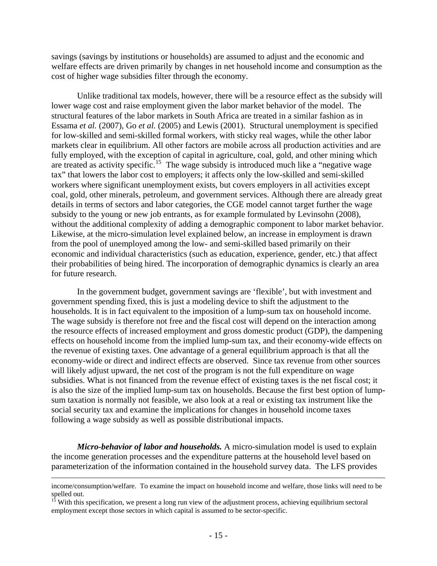savings (savings by institutions or households) are assumed to adjust and the economic and welfare effects are driven primarily by changes in net household income and consumption as the cost of higher wage subsidies filter through the economy.

Unlike traditional tax models, however, there will be a resource effect as the subsidy will lower wage cost and raise employment given the labor market behavior of the model. The structural features of the labor markets in South Africa are treated in a similar fashion as in Essama *et al.* (2007), Go *et al.* (2005) and Lewis (2001). Structural unemployment is specified for low-skilled and semi-skilled formal workers, with sticky real wages, while the other labor markets clear in equilibrium. All other factors are mobile across all production activities and are fully employed, with the exception of capital in agriculture, coal, gold, and other mining which are treated as activity specific.<sup>[15](#page-16-0)</sup> The wage subsidy is introduced much like a "negative wage tax" that lowers the labor cost to employers; it affects only the low-skilled and semi-skilled workers where significant unemployment exists, but covers employers in all activities except coal, gold, other minerals, petroleum, and government services. Although there are already great details in terms of sectors and labor categories, the CGE model cannot target further the wage subsidy to the young or new job entrants, as for example formulated by Levinsohn (2008), without the additional complexity of adding a demographic component to labor market behavior. Likewise, at the micro-simulation level explained below, an increase in employment is drawn from the pool of unemployed among the low- and semi-skilled based primarily on their economic and individual characteristics (such as education, experience, gender, etc.) that affect their probabilities of being hired. The incorporation of demographic dynamics is clearly an area for future research.

In the government budget, government savings are 'flexible', but with investment and government spending fixed, this is just a modeling device to shift the adjustment to the households. It is in fact equivalent to the imposition of a lump-sum tax on household income. The wage subsidy is therefore not free and the fiscal cost will depend on the interaction among the resource effects of increased employment and gross domestic product (GDP), the dampening effects on household income from the implied lump-sum tax, and their economy-wide effects on the revenue of existing taxes. One advantage of a general equilibrium approach is that all the economy-wide or direct and indirect effects are observed. Since tax revenue from other sources will likely adjust upward, the net cost of the program is not the full expenditure on wage subsidies. What is not financed from the revenue effect of existing taxes is the net fiscal cost; it is also the size of the implied lump-sum tax on households. Because the first best option of lumpsum taxation is normally not feasible, we also look at a real or existing tax instrument like the social security tax and examine the implications for changes in household income taxes following a wage subsidy as well as possible distributional impacts.

*Micro-behavior of labor and households.* A micro-simulation model is used to explain the income generation processes and the expenditure patterns at the household level based on parameterization of the information contained in the household survey data. The LFS provides

income/consumption/welfare. To examine the impact on household income and welfare, those links will need to be spelled out.

<span id="page-16-0"></span><sup>&</sup>lt;sup>15</sup> With this specification, we present a long run view of the adjustment process, achieving equilibrium sectoral employment except those sectors in which capital is assumed to be sector-specific.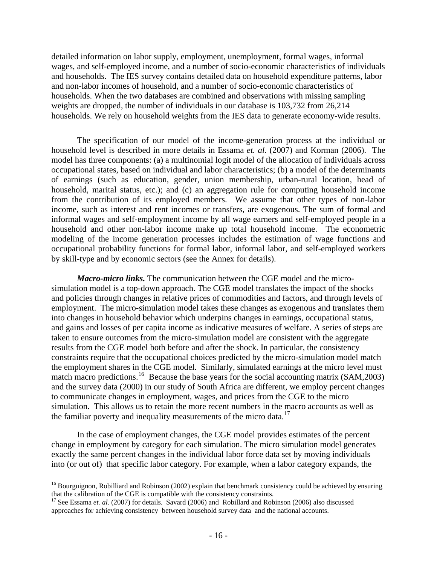detailed information on labor supply, employment, unemployment, formal wages, informal wages, and self-employed income, and a number of socio-economic characteristics of individuals and households. The IES survey contains detailed data on household expenditure patterns, labor and non-labor incomes of household, and a number of socio-economic characteristics of households. When the two databases are combined and observations with missing sampling weights are dropped, the number of individuals in our database is 103,732 from 26,214 households. We rely on household weights from the IES data to generate economy-wide results.

The specification of our model of the income-generation process at the individual or household level is described in more details in Essama *et. al.* (2007) and Korman (2006). The model has three components: (a) a multinomial logit model of the allocation of individuals across occupational states, based on individual and labor characteristics; (b) a model of the determinants of earnings (such as education, gender, union membership, urban-rural location, head of household, marital status, etc.); and (c) an aggregation rule for computing household income from the contribution of its employed members. We assume that other types of non-labor income, such as interest and rent incomes or transfers, are exogenous. The sum of formal and informal wages and self-employment income by all wage earners and self-employed people in a household and other non-labor income make up total household income. The econometric modeling of the income generation processes includes the estimation of wage functions and occupational probability functions for formal labor, informal labor, and self-employed workers by skill-type and by economic sectors (see the Annex for details).

*Macro-micro links.* The communication between the CGE model and the microsimulation model is a top-down approach. The CGE model translates the impact of the shocks and policies through changes in relative prices of commodities and factors, and through levels of employment. The micro-simulation model takes these changes as exogenous and translates them into changes in household behavior which underpins changes in earnings, occupational status, and gains and losses of per capita income as indicative measures of welfare. A series of steps are taken to ensure outcomes from the micro-simulation model are consistent with the aggregate results from the CGE model both before and after the shock. In particular, the consistency constraints require that the occupational choices predicted by the micro-simulation model match the employment shares in the CGE model. Similarly, simulated earnings at the micro level must match macro predictions.<sup>[16](#page-17-0)</sup> Because the base years for the social accounting matrix (SAM,2003) and the survey data (2000) in our study of South Africa are different, we employ percent changes to communicate changes in employment, wages, and prices from the CGE to the micro simulation. This allows us to retain the more recent numbers in the macro accounts as well as the familiar poverty and inequality measurements of the micro data.<sup>[17](#page-17-1)</sup>

In the case of employment changes, the CGE model provides estimates of the percent change in employment by category for each simulation. The micro simulation model generates exactly the same percent changes in the individual labor force data set by moving individuals into (or out of) that specific labor category. For example, when a labor category expands, the

1

<span id="page-17-0"></span><sup>&</sup>lt;sup>16</sup> Bourguignon, Robilliard and Robinson (2002) explain that benchmark consistency could be achieved by ensuring that the calibration of the CGE is compatible with the consistency constraints.

<span id="page-17-1"></span><sup>&</sup>lt;sup>17</sup> See Essama *et. al.* (2007) for details. Savard (2006) and Robillard and Robinson (2006) also discussed approaches for achieving consistency between household survey data and the national accounts.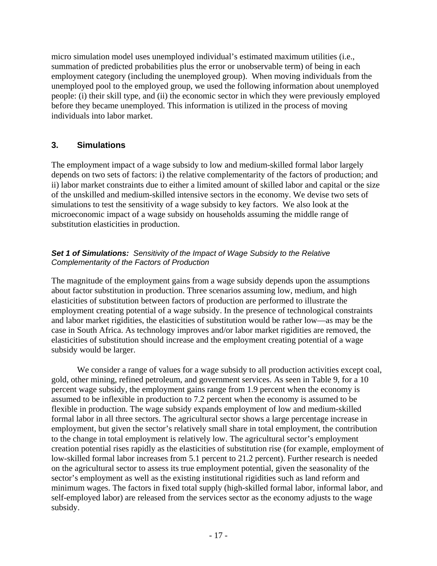micro simulation model uses unemployed individual's estimated maximum utilities (i.e., summation of predicted probabilities plus the error or unobservable term) of being in each employment category (including the unemployed group). When moving individuals from the unemployed pool to the employed group, we used the following information about unemployed people: (i) their skill type, and (ii) the economic sector in which they were previously employed before they became unemployed. This information is utilized in the process of moving individuals into labor market.

# **3. Simulations**

The employment impact of a wage subsidy to low and medium-skilled formal labor largely depends on two sets of factors: i) the relative complementarity of the factors of production; and ii) labor market constraints due to either a limited amount of skilled labor and capital or the size of the unskilled and medium-skilled intensive sectors in the economy. We devise two sets of simulations to test the sensitivity of a wage subsidy to key factors. We also look at the microeconomic impact of a wage subsidy on households assuming the middle range of substitution elasticities in production.

# *Set 1 of Simulations: Sensitivity of the Impact of Wage Subsidy to the Relative Complementarity of the Factors of Production*

The magnitude of the employment gains from a wage subsidy depends upon the assumptions about factor substitution in production. Three scenarios assuming low, medium, and high elasticities of substitution between factors of production are performed to illustrate the employment creating potential of a wage subsidy. In the presence of technological constraints and labor market rigidities, the elasticities of substitution would be rather low—as may be the case in South Africa. As technology improves and/or labor market rigidities are removed, the elasticities of substitution should increase and the employment creating potential of a wage subsidy would be larger.

We consider a range of values for a wage subsidy to all production activities except coal, gold, other mining, refined petroleum, and government services. As seen in Table 9, for a 10 percent wage subsidy, the employment gains range from 1.9 percent when the economy is assumed to be inflexible in production to 7.2 percent when the economy is assumed to be flexible in production. The wage subsidy expands employment of low and medium-skilled formal labor in all three sectors. The agricultural sector shows a large percentage increase in employment, but given the sector's relatively small share in total employment, the contribution to the change in total employment is relatively low. The agricultural sector's employment creation potential rises rapidly as the elasticities of substitution rise (for example, employment of low-skilled formal labor increases from 5.1 percent to 21.2 percent). Further research is needed on the agricultural sector to assess its true employment potential, given the seasonality of the sector's employment as well as the existing institutional rigidities such as land reform and minimum wages. The factors in fixed total supply (high-skilled formal labor, informal labor, and self-employed labor) are released from the services sector as the economy adjusts to the wage subsidy.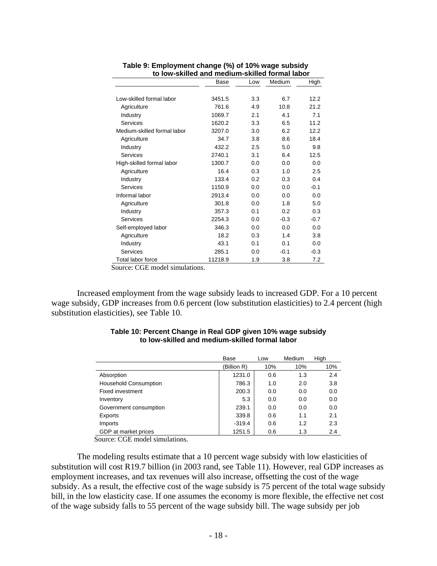| w iow-akincu anu mculum-akincu iomiul labol |                       |     |        |        |  |  |  |
|---------------------------------------------|-----------------------|-----|--------|--------|--|--|--|
|                                             | Medium<br>Base<br>Low |     |        |        |  |  |  |
|                                             |                       |     |        |        |  |  |  |
| Low-skilled formal labor                    | 3451.5                | 3.3 | 6.7    | 12.2   |  |  |  |
| Agriculture                                 | 761.6                 | 4.9 | 10.8   | 21.2   |  |  |  |
| Industry                                    | 1069.7                | 2.1 | 4.1    | 7.1    |  |  |  |
| <b>Services</b>                             | 1620.2                | 3.3 | 6.5    | 11.2   |  |  |  |
| Medium-skilled formal labor                 | 3207.0                | 3.0 | 6.2    | 12.2   |  |  |  |
| Agriculture                                 | 34.7                  | 3.8 | 8.6    | 18.4   |  |  |  |
| Industry                                    | 432.2                 | 2.5 | 5.0    | 9.8    |  |  |  |
| Services                                    | 2740.1                | 3.1 | 6.4    | 12.5   |  |  |  |
| High-skilled formal labor                   | 1300.7                | 0.0 | 0.0    | 0.0    |  |  |  |
| Agriculture                                 | 16.4                  | 0.3 | 1.0    | 2.5    |  |  |  |
| Industry                                    | 133.4                 | 0.2 | 0.3    | 0.4    |  |  |  |
| <b>Services</b>                             | 1150.9                | 0.0 | 0.0    | $-0.1$ |  |  |  |
| Informal labor                              | 2913.4                | 0.0 | 0.0    | 0.0    |  |  |  |
| Agriculture                                 | 301.8                 | 0.0 | 1.8    | 5.0    |  |  |  |
| Industry                                    | 357.3                 | 0.1 | 0.2    | 0.3    |  |  |  |
| <b>Services</b>                             | 2254.3                | 0.0 | $-0.3$ | $-0.7$ |  |  |  |
| Self-employed labor                         | 346.3                 | 0.0 | 0.0    | 0.0    |  |  |  |
| Agriculture                                 | 18.2                  | 0.3 | 1.4    | 3.8    |  |  |  |
| Industry                                    | 43.1                  | 0.1 | 0.1    | 0.0    |  |  |  |
| <b>Services</b>                             | 285.1                 | 0.0 | $-0.1$ | $-0.3$ |  |  |  |
| Total labor force                           | 11218.9               | 1.9 | 3.8    | 7.2    |  |  |  |

#### **Table 9: Employment change (%) of 10% wage subsidy to low-skilled and medium-skilled formal labor**

Source: CGE model simulations.

Increased employment from the wage subsidy leads to increased GDP. For a 10 percent wage subsidy, GDP increases from 0.6 percent (low substitution elasticities) to 2.4 percent (high substitution elasticities), see Table 10.

|                              | Base       | Low | Medium | High |
|------------------------------|------------|-----|--------|------|
|                              | Billion R) | 10% | 10%    | 10%  |
| Absorption                   | 1231.0     | 0.6 | 1.3    | 2.4  |
| <b>Household Consumption</b> | 786.3      | 1.0 | 2.0    | 3.8  |
| <b>Fixed investment</b>      | 200.3      | 0.0 | 0.0    | 0.0  |
| Inventory                    | 5.3        | 0.0 | 0.0    | 0.0  |
| Government consumption       | 239.1      | 0.0 | 0.0    | 0.0  |
| Exports                      | 339.8      | 0.6 | 1.1    | 2.1  |
| Imports                      | $-319.4$   | 0.6 | 1.2    | 2.3  |
| GDP at market prices         | 1251.5     | 0.6 | 1.3    | 2.4  |

#### **Table 10: Percent Change in Real GDP given 10% wage subsidy to low-skilled and medium-skilled formal labor**

Source: CGE model simulations.

The modeling results estimate that a 10 percent wage subsidy with low elasticities of substitution will cost R19.7 billion (in 2003 rand, see Table 11). However, real GDP increases as employment increases, and tax revenues will also increase, offsetting the cost of the wage subsidy. As a result, the effective cost of the wage subsidy is 75 percent of the total wage subsidy bill, in the low elasticity case. If one assumes the economy is more flexible, the effective net cost of the wage subsidy falls to 55 percent of the wage subsidy bill. The wage subsidy per job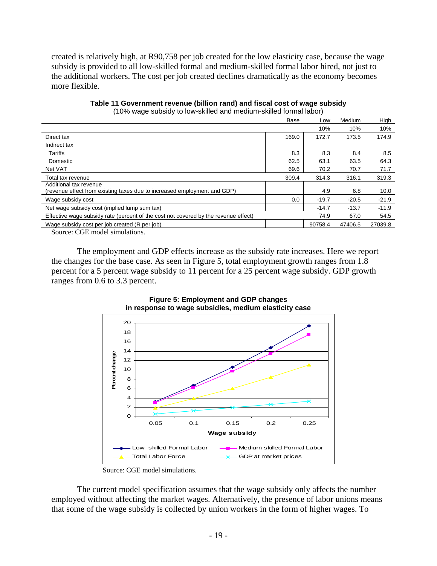created is relatively high, at R90,758 per job created for the low elasticity case, because the wage subsidy is provided to all low-skilled formal and medium-skilled formal labor hired, not just to the additional workers. The cost per job created declines dramatically as the economy becomes more flexible.

| TOTO TRAJE CADORET TO TOTT CRIMICA ANIA INTOGRANTI CRIMICA TONNIAI RADOI J                         | Base  | Low     | Medium  | High    |
|----------------------------------------------------------------------------------------------------|-------|---------|---------|---------|
|                                                                                                    |       | 10%     | 10%     | 10%     |
| Direct tax                                                                                         | 169.0 | 172.7   | 173.5   | 174.9   |
| Indirect tax                                                                                       |       |         |         |         |
| Tariffs                                                                                            | 8.3   | 8.3     | 8.4     | 8.5     |
| Domestic                                                                                           | 62.5  | 63.1    | 63.5    | 64.3    |
| Net VAT                                                                                            | 69.6  | 70.2    | 70.7    | 71.7    |
| Total tax revenue                                                                                  | 309.4 | 314.3   | 316.1   | 319.3   |
| Additional tax revenue<br>(revenue effect from existing taxes due to increased employment and GDP) |       | 4.9     | 6.8     | 10.0    |
| Wage subsidy cost                                                                                  | 0.0   | $-19.7$ | $-20.5$ | $-21.9$ |
| Net wage subsidy cost (implied lump sum tax)                                                       |       | $-14.7$ | $-13.7$ | $-11.9$ |
| Effective wage subsidy rate (percent of the cost not covered by the revenue effect)                |       | 74.9    | 67.0    | 54.5    |
| Wage subsidy cost per job created (R per job)<br>.<br>$\sim$ $\sim$ $\sim$                         |       | 90758.4 | 47406.5 | 27039.8 |

**Table 11 Government revenue (billion rand) and fiscal cost of wage subsidy**  (10% wage subsidy to low-skilled and medium-skilled formal labor)

Source: CGE model simulations.

The employment and GDP effects increase as the subsidy rate increases. Here we report the changes for the base case. As seen in Figure 5, total employment growth ranges from 1.8 percent for a 5 percent wage subsidy to 11 percent for a 25 percent wage subsidy. GDP growth ranges from 0.6 to 3.3 percent.



#### **Figure 5: Employment and GDP changes in response to wage subsidies, medium elasticity case**

The current model specification assumes that the wage subsidy only affects the number employed without affecting the market wages. Alternatively, the presence of labor unions means that some of the wage subsidy is collected by union workers in the form of higher wages. To

Source: CGE model simulations.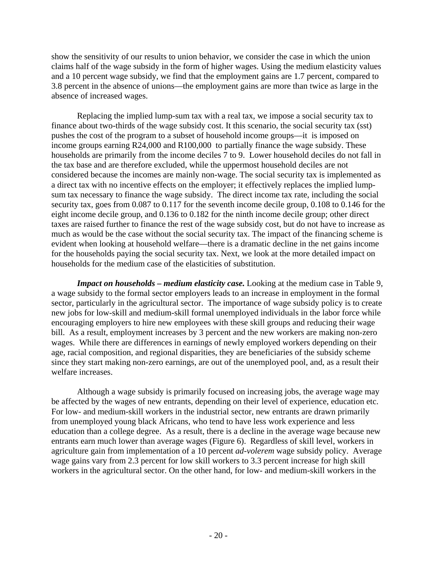show the sensitivity of our results to union behavior, we consider the case in which the union claims half of the wage subsidy in the form of higher wages. Using the medium elasticity values and a 10 percent wage subsidy, we find that the employment gains are 1.7 percent, compared to 3.8 percent in the absence of unions—the employment gains are more than twice as large in the absence of increased wages.

Replacing the implied lump-sum tax with a real tax, we impose a social security tax to finance about two-thirds of the wage subsidy cost. It this scenario, the social security tax (sst) pushes the cost of the program to a subset of household income groups—it is imposed on income groups earning R24,000 and R100,000 to partially finance the wage subsidy. These households are primarily from the income deciles 7 to 9. Lower household deciles do not fall in the tax base and are therefore excluded, while the uppermost household deciles are not considered because the incomes are mainly non-wage. The social security tax is implemented as a direct tax with no incentive effects on the employer; it effectively replaces the implied lumpsum tax necessary to finance the wage subsidy. The direct income tax rate, including the social security tax, goes from 0.087 to 0.117 for the seventh income decile group, 0.108 to 0.146 for the eight income decile group, and 0.136 to 0.182 for the ninth income decile group; other direct taxes are raised further to finance the rest of the wage subsidy cost, but do not have to increase as much as would be the case without the social security tax. The impact of the financing scheme is evident when looking at household welfare—there is a dramatic decline in the net gains income for the households paying the social security tax. Next, we look at the more detailed impact on households for the medium case of the elasticities of substitution.

*Impact on households – medium elasticity case.* Looking at the medium case in Table 9, a wage subsidy to the formal sector employers leads to an increase in employment in the formal sector, particularly in the agricultural sector. The importance of wage subsidy policy is to create new jobs for low-skill and medium-skill formal unemployed individuals in the labor force while encouraging employers to hire new employees with these skill groups and reducing their wage bill. As a result, employment increases by 3 percent and the new workers are making non-zero wages. While there are differences in earnings of newly employed workers depending on their age, racial composition, and regional disparities, they are beneficiaries of the subsidy scheme since they start making non-zero earnings, are out of the unemployed pool, and, as a result their welfare increases.

Although a wage subsidy is primarily focused on increasing jobs, the average wage may be affected by the wages of new entrants, depending on their level of experience, education etc. For low- and medium-skill workers in the industrial sector, new entrants are drawn primarily from unemployed young black Africans, who tend to have less work experience and less education than a college degree. As a result, there is a decline in the average wage because new entrants earn much lower than average wages (Figure 6). Regardless of skill level, workers in agriculture gain from implementation of a 10 percent *ad-volerem* wage subsidy policy. Average wage gains vary from 2.3 percent for low skill workers to 3.3 percent increase for high skill workers in the agricultural sector. On the other hand, for low- and medium-skill workers in the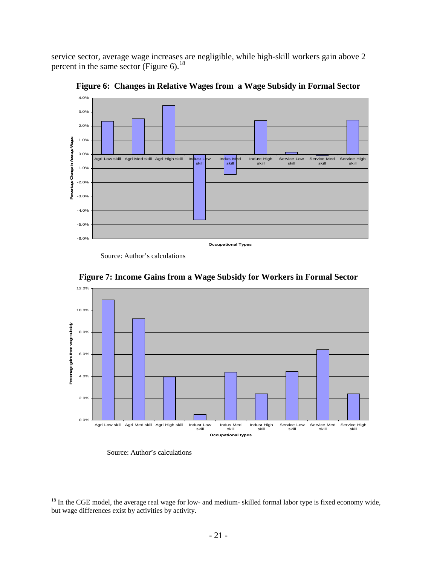service sector, average wage increases are negligible, while high-skill workers gain above 2 percent in the same sector (Figure 6).<sup>[18](#page-22-0)</sup>



**Figure 6: Changes in Relative Wages from a Wage Subsidy in Formal Sector** 

Source: Author's calculations



**Figure 7: Income Gains from a Wage Subsidy for Workers in Formal Sector** 

Source: Author's calculations

<span id="page-22-0"></span> $18$  In the CGE model, the average real wage for low- and medium- skilled formal labor type is fixed economy wide, but wage differences exist by activities by activity.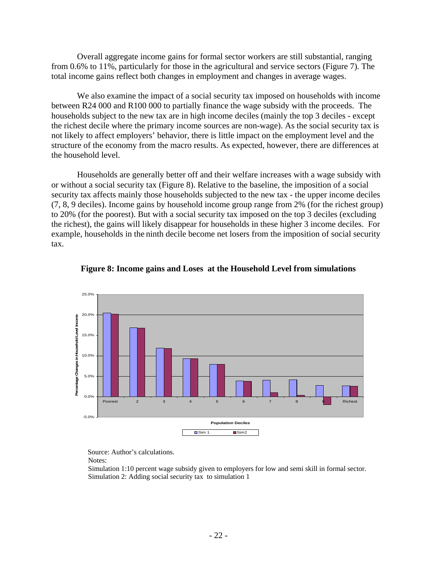Overall aggregate income gains for formal sector workers are still substantial, ranging from 0.6% to 11%, particularly for those in the agricultural and service sectors (Figure 7). The total income gains reflect both changes in employment and changes in average wages.

We also examine the impact of a social security tax imposed on households with income between R24 000 and R100 000 to partially finance the wage subsidy with the proceeds. The households subject to the new tax are in high income deciles (mainly the top 3 deciles - except the richest decile where the primary income sources are non-wage). As the social security tax is not likely to affect employers' behavior, there is little impact on the employment level and the structure of the economy from the macro results. As expected, however, there are differences at the household level.

Households are generally better off and their welfare increases with a wage subsidy with or without a social security tax (Figure 8). Relative to the baseline, the imposition of a social security tax affects mainly those households subjected to the new tax - the upper income deciles (7, 8, 9 deciles). Income gains by household income group range from 2% (for the richest group) to 20% (for the poorest). But with a social security tax imposed on the top 3 deciles (excluding the richest), the gains will likely disappear for households in these higher 3 income deciles. For example, households in the ninth decile become net losers from the imposition of social security tax.





Source: Author's calculations.

Notes:

 Simulation 1:10 percent wage subsidy given to employers for low and semi skill in formal sector. Simulation 2: Adding social security tax to simulation 1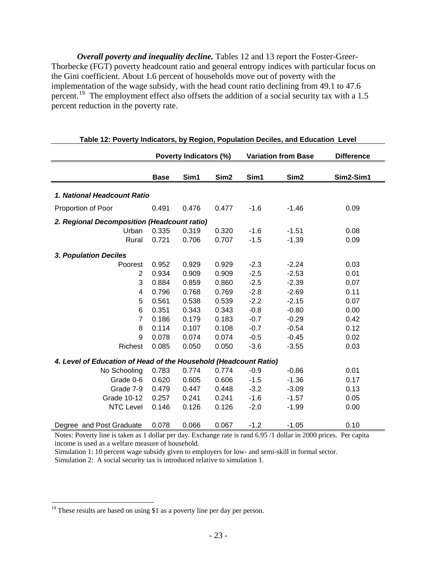*Overall poverty and inequality decline.* Tables 12 and 13 report the Foster-Greer-Thorbecke (FGT) poverty headcount ratio and general entropy indices with particular focus on the Gini coefficient. About 1.6 percent of households move out of poverty with the implementation of the wage subsidy, with the head count ratio declining from 49.1 to 47.6 percent.<sup>[19](#page-24-0)</sup> The employment effect also offsets the addition of a social security tax with a 1.5 percent reduction in the poverty rate.

|                                                                  |                       | Poverty Indicators (%)  |                  |        | <b>Variation from Base</b>                | <b>Difference</b>    |
|------------------------------------------------------------------|-----------------------|-------------------------|------------------|--------|-------------------------------------------|----------------------|
|                                                                  | <b>Base</b>           | Sim1                    | Sim <sub>2</sub> | Sim1   | Sim <sub>2</sub>                          | Sim2-Sim1            |
| 1. National Headcount Ratio                                      |                       |                         |                  |        |                                           |                      |
| Proportion of Poor                                               | 0.491                 | 0.476                   | 0.477            | $-1.6$ | $-1.46$                                   | 0.09                 |
| 2. Regional Decomposition (Headcount ratio)                      |                       |                         |                  |        |                                           |                      |
| Urban                                                            | 0.335                 | 0.319                   | 0.320            | $-1.6$ | $-1.51$                                   | 0.08                 |
| Rural                                                            | 0.721                 | 0.706                   | 0.707            | $-1.5$ | $-1.39$                                   | 0.09                 |
| 3. Population Deciles                                            |                       |                         |                  |        |                                           |                      |
| Poorest                                                          | 0.952                 | 0.929                   | 0.929            | $-2.3$ | $-2.24$                                   | 0.03                 |
| 2                                                                | 0.934                 | 0.909                   | 0.909            | $-2.5$ | $-2.53$                                   | 0.01                 |
| 3                                                                | 0.884                 | 0.859                   | 0.860            | $-2.5$ | $-2.39$                                   | 0.07                 |
| 4                                                                | 0.796                 | 0.768                   | 0.769            | $-2.8$ | $-2.69$                                   | 0.11                 |
| 5                                                                | 0.561                 | 0.538                   | 0.539            | $-2.2$ | $-2.15$                                   | 0.07                 |
| 6                                                                | 0.351                 | 0.343                   | 0.343            | $-0.8$ | $-0.80$                                   | 0.00                 |
| $\overline{7}$                                                   | 0.186                 | 0.179                   | 0.183            | $-0.7$ | $-0.29$                                   | 0.42                 |
| 8                                                                | 0.114                 | 0.107                   | 0.108            | $-0.7$ | $-0.54$                                   | 0.12                 |
| 9                                                                | 0.078                 | 0.074                   | 0.074            | $-0.5$ | $-0.45$                                   | 0.02                 |
| Richest                                                          | 0.085                 | 0.050                   | 0.050            | $-3.6$ | $-3.55$                                   | 0.03                 |
| 4. Level of Education of Head of the Household (Headcount Ratio) |                       |                         |                  |        |                                           |                      |
| No Schooling                                                     | 0.783                 | 0.774                   | 0.774            | $-0.9$ | $-0.86$                                   | 0.01                 |
| Grade 0-6                                                        | 0.620                 | 0.605                   | 0.606            | $-1.5$ | $-1.36$                                   | 0.17                 |
| Grade 7-9                                                        | 0.479                 | 0.447                   | 0.448            | $-3.2$ | $-3.09$                                   | 0.13                 |
| Grade 10-12                                                      | 0.257                 | 0.241                   | 0.241            | $-1.6$ | $-1.57$                                   | 0.05                 |
| <b>NTC Level</b>                                                 | 0.146                 | 0.126                   | 0.126            | $-2.0$ | $-1.99$                                   | 0.00                 |
| Degree and Post Graduate<br>$\cdot$ $\cdot$<br><sup>n</sup>      | 0.078<br>$1 \t1 \t11$ | 0.066<br>$\mathbf{r}$ 1 | 0.067            | $-1.2$ | $-1.05$<br>$1 \times 0 = 11$ $11$ $12000$ | 0.10<br><sub>D</sub> |

|  | Table 12: Poverty Indicators, by Region, Population Deciles, and Education Level |  |  |  |
|--|----------------------------------------------------------------------------------|--|--|--|
|--|----------------------------------------------------------------------------------|--|--|--|

Notes: Poverty line is taken as 1 dollar per day. Exchange rate is rand 6.95 /1 dollar in 2000 prices. Per capita income is used as a welfare measure of household.

Simulation 1: 10 percent wage subsidy given to employers for low- and semi-skill in formal sector.

Simulation 2: A social security tax is introduced relative to simulation 1.

<span id="page-24-0"></span> $19$ <sup>19</sup> These results are based on using \$1 as a poverty line per day per person.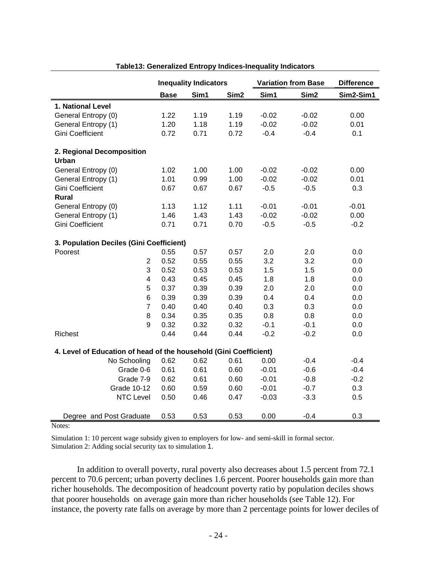|                                                                   | <b>Inequality Indicators</b> |      |                  |         | <b>Variation from Base</b> | <b>Difference</b> |
|-------------------------------------------------------------------|------------------------------|------|------------------|---------|----------------------------|-------------------|
|                                                                   | <b>Base</b>                  | Sim1 | Sim <sub>2</sub> | Sim1    | Sim <sub>2</sub>           | Sim2-Sim1         |
| 1. National Level                                                 |                              |      |                  |         |                            |                   |
| General Entropy (0)                                               | 1.22                         | 1.19 | 1.19             | $-0.02$ | $-0.02$                    | 0.00              |
| General Entropy (1)                                               | 1.20                         | 1.18 | 1.19             | $-0.02$ | $-0.02$                    | 0.01              |
| <b>Gini Coefficient</b>                                           | 0.72                         | 0.71 | 0.72             | $-0.4$  | $-0.4$                     | 0.1               |
|                                                                   |                              |      |                  |         |                            |                   |
| 2. Regional Decomposition<br><b>Urban</b>                         |                              |      |                  |         |                            |                   |
| General Entropy (0)                                               | 1.02                         | 1.00 | 1.00             | $-0.02$ | $-0.02$                    | 0.00              |
| General Entropy (1)                                               | 1.01                         | 0.99 | 1.00             | $-0.02$ | $-0.02$                    | 0.01              |
| <b>Gini Coefficient</b>                                           | 0.67                         | 0.67 | 0.67             | $-0.5$  | $-0.5$                     | 0.3               |
| <b>Rural</b>                                                      |                              |      |                  |         |                            |                   |
| General Entropy (0)                                               | 1.13                         | 1.12 | 1.11             | $-0.01$ | $-0.01$                    | $-0.01$           |
| General Entropy (1)                                               | 1.46                         | 1.43 | 1.43             | $-0.02$ | $-0.02$                    | 0.00              |
| <b>Gini Coefficient</b>                                           | 0.71                         | 0.71 | 0.70             | $-0.5$  | $-0.5$                     | $-0.2$            |
|                                                                   |                              |      |                  |         |                            |                   |
| 3. Population Deciles (Gini Coefficient)                          |                              |      |                  |         |                            |                   |
| Poorest                                                           | 0.55                         | 0.57 | 0.57             | 2.0     | 2.0                        | 0.0               |
| $\overline{2}$                                                    | 0.52                         | 0.55 | 0.55             | 3.2     | 3.2                        | 0.0               |
| 3                                                                 | 0.52                         | 0.53 | 0.53             | 1.5     | 1.5                        | 0.0               |
| $\overline{\mathbf{4}}$                                           | 0.43                         | 0.45 | 0.45             | 1.8     | 1.8                        | 0.0               |
| 5                                                                 | 0.37                         | 0.39 | 0.39             | 2.0     | 2.0                        | 0.0               |
| 6                                                                 | 0.39                         | 0.39 | 0.39             | 0.4     | 0.4                        | 0.0               |
| $\overline{7}$                                                    | 0.40                         | 0.40 | 0.40             | 0.3     | 0.3                        | 0.0               |
| 8                                                                 | 0.34                         | 0.35 | 0.35             | 0.8     | 0.8                        | 0.0               |
| 9                                                                 | 0.32                         | 0.32 | 0.32             | $-0.1$  | $-0.1$                     | 0.0               |
| Richest                                                           | 0.44                         | 0.44 | 0.44             | $-0.2$  | $-0.2$                     | 0.0               |
| 4. Level of Education of head of the household (Gini Coefficient) |                              |      |                  |         |                            |                   |
| No Schooling                                                      | 0.62                         | 0.62 | 0.61             | 0.00    | $-0.4$                     | $-0.4$            |
| Grade 0-6                                                         | 0.61                         | 0.61 | 0.60             | $-0.01$ | $-0.6$                     | $-0.4$            |
| Grade 7-9                                                         | 0.62                         | 0.61 | 0.60             | $-0.01$ | $-0.8$                     | $-0.2$            |
| <b>Grade 10-12</b>                                                | 0.60                         | 0.59 | 0.60             | $-0.01$ | $-0.7$                     | 0.3               |
| <b>NTC Level</b>                                                  | 0.50                         | 0.46 | 0.47             | $-0.03$ | $-3.3$                     | 0.5               |
| Degree and Post Graduate                                          | 0.53                         | 0.53 | 0.53             | 0.00    | $-0.4$                     | 0.3               |

#### **Table13: Generalized Entropy Indices-Inequality Indicators**

Notes:

Simulation 1: 10 percent wage subsidy given to employers for low- and semi-skill in formal sector. Simulation 2: Adding social security tax to simulation 1.

In addition to overall poverty, rural poverty also decreases about 1.5 percent from 72.1 percent to 70.6 percent; urban poverty declines 1.6 percent. Poorer households gain more than richer households. The decomposition of headcount poverty ratio by population deciles shows that poorer households on average gain more than richer households (see Table 12). For instance, the poverty rate falls on average by more than 2 percentage points for lower deciles of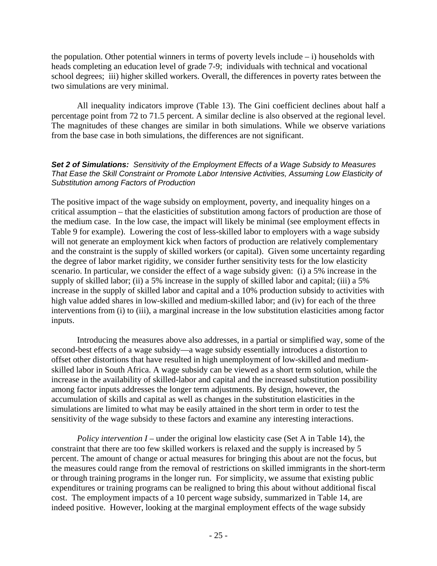the population. Other potential winners in terms of poverty levels include  $- i$ ) households with heads completing an education level of grade 7-9; individuals with technical and vocational school degrees; iii) higher skilled workers. Overall, the differences in poverty rates between the two simulations are very minimal.

All inequality indicators improve (Table 13). The Gini coefficient declines about half a percentage point from 72 to 71.5 percent. A similar decline is also observed at the regional level. The magnitudes of these changes are similar in both simulations. While we observe variations from the base case in both simulations, the differences are not significant.

## *Set 2 of Simulations: Sensitivity of the Employment Effects of a Wage Subsidy to Measures That Ease the Skill Constraint or Promote Labor Intensive Activities, Assuming Low Elasticity of Substitution among Factors of Production*

The positive impact of the wage subsidy on employment, poverty, and inequality hinges on a critical assumption – that the elasticities of substitution among factors of production are those of the medium case. In the low case, the impact will likely be minimal (see employment effects in Table 9 for example). Lowering the cost of less-skilled labor to employers with a wage subsidy will not generate an employment kick when factors of production are relatively complementary and the constraint is the supply of skilled workers (or capital). Given some uncertainty regarding the degree of labor market rigidity, we consider further sensitivity tests for the low elasticity scenario. In particular, we consider the effect of a wage subsidy given: (i) a 5% increase in the supply of skilled labor; (ii) a 5% increase in the supply of skilled labor and capital; (iii) a 5% increase in the supply of skilled labor and capital and a 10% production subsidy to activities with high value added shares in low-skilled and medium-skilled labor; and (iv) for each of the three interventions from (i) to (iii), a marginal increase in the low substitution elasticities among factor inputs.

Introducing the measures above also addresses, in a partial or simplified way, some of the second-best effects of a wage subsidy—a wage subsidy essentially introduces a distortion to offset other distortions that have resulted in high unemployment of low-skilled and mediumskilled labor in South Africa. A wage subsidy can be viewed as a short term solution, while the increase in the availability of skilled-labor and capital and the increased substitution possibility among factor inputs addresses the longer term adjustments. By design, however, the accumulation of skills and capital as well as changes in the substitution elasticities in the simulations are limited to what may be easily attained in the short term in order to test the sensitivity of the wage subsidy to these factors and examine any interesting interactions.

*Policy intervention I* – under the original low elasticity case (Set A in Table 14), the constraint that there are too few skilled workers is relaxed and the supply is increased by 5 percent. The amount of change or actual measures for bringing this about are not the focus, but the measures could range from the removal of restrictions on skilled immigrants in the short-term or through training programs in the longer run. For simplicity, we assume that existing public expenditures or training programs can be realigned to bring this about without additional fiscal cost. The employment impacts of a 10 percent wage subsidy, summarized in Table 14, are indeed positive. However, looking at the marginal employment effects of the wage subsidy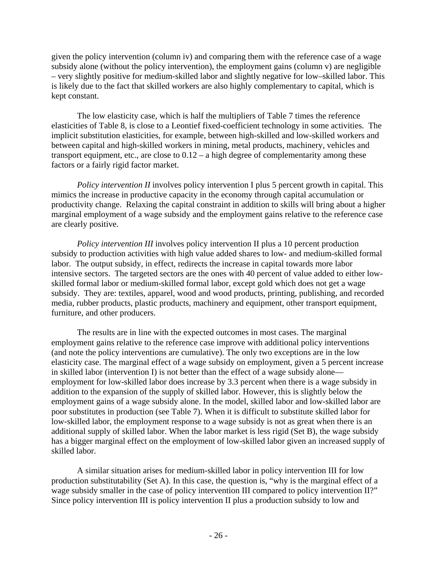given the policy intervention (column iv) and comparing them with the reference case of a wage subsidy alone (without the policy intervention), the employment gains (column v) are negligible – very slightly positive for medium-skilled labor and slightly negative for low–skilled labor. This is likely due to the fact that skilled workers are also highly complementary to capital, which is kept constant.

The low elasticity case, which is half the multipliers of Table 7 times the reference elasticities of Table 8, is close to a Leontief fixed-coefficient technology in some activities. The implicit substitution elasticities, for example, between high-skilled and low-skilled workers and between capital and high-skilled workers in mining, metal products, machinery, vehicles and transport equipment, etc., are close to  $0.12 - a$  high degree of complementarity among these factors or a fairly rigid factor market.

*Policy intervention II* involves policy intervention I plus 5 percent growth in capital. This mimics the increase in productive capacity in the economy through capital accumulation or productivity change. Relaxing the capital constraint in addition to skills will bring about a higher marginal employment of a wage subsidy and the employment gains relative to the reference case are clearly positive.

*Policy intervention III* involves policy intervention II plus a 10 percent production subsidy to production activities with high value added shares to low- and medium-skilled formal labor. The output subsidy, in effect, redirects the increase in capital towards more labor intensive sectors. The targeted sectors are the ones with 40 percent of value added to either lowskilled formal labor or medium-skilled formal labor, except gold which does not get a wage subsidy. They are: textiles, apparel, wood and wood products, printing, publishing, and recorded media, rubber products, plastic products, machinery and equipment, other transport equipment, furniture, and other producers.

The results are in line with the expected outcomes in most cases. The marginal employment gains relative to the reference case improve with additional policy interventions (and note the policy interventions are cumulative). The only two exceptions are in the low elasticity case. The marginal effect of a wage subsidy on employment, given a 5 percent increase in skilled labor (intervention I) is not better than the effect of a wage subsidy alone employment for low-skilled labor does increase by 3.3 percent when there is a wage subsidy in addition to the expansion of the supply of skilled labor. However, this is slightly below the employment gains of a wage subsidy alone. In the model, skilled labor and low-skilled labor are poor substitutes in production (see Table 7). When it is difficult to substitute skilled labor for low-skilled labor, the employment response to a wage subsidy is not as great when there is an additional supply of skilled labor. When the labor market is less rigid (Set B), the wage subsidy has a bigger marginal effect on the employment of low-skilled labor given an increased supply of skilled labor.

A similar situation arises for medium-skilled labor in policy intervention III for low production substitutability (Set A). In this case, the question is, "why is the marginal effect of a wage subsidy smaller in the case of policy intervention III compared to policy intervention II?" Since policy intervention III is policy intervention II plus a production subsidy to low and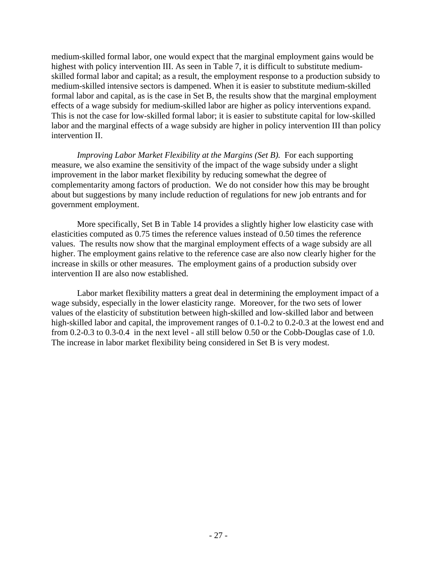medium-skilled formal labor, one would expect that the marginal employment gains would be highest with policy intervention III. As seen in Table 7, it is difficult to substitute mediumskilled formal labor and capital; as a result, the employment response to a production subsidy to medium-skilled intensive sectors is dampened. When it is easier to substitute medium-skilled formal labor and capital, as is the case in Set B, the results show that the marginal employment effects of a wage subsidy for medium-skilled labor are higher as policy interventions expand. This is not the case for low-skilled formal labor; it is easier to substitute capital for low-skilled labor and the marginal effects of a wage subsidy are higher in policy intervention III than policy intervention II.

*Improving Labor Market Flexibility at the Margins (Set B).* For each supporting measure, we also examine the sensitivity of the impact of the wage subsidy under a slight improvement in the labor market flexibility by reducing somewhat the degree of complementarity among factors of production. We do not consider how this may be brought about but suggestions by many include reduction of regulations for new job entrants and for government employment.

More specifically, Set B in Table 14 provides a slightly higher low elasticity case with elasticities computed as 0.75 times the reference values instead of 0.50 times the reference values. The results now show that the marginal employment effects of a wage subsidy are all higher. The employment gains relative to the reference case are also now clearly higher for the increase in skills or other measures. The employment gains of a production subsidy over intervention II are also now established.

Labor market flexibility matters a great deal in determining the employment impact of a wage subsidy, especially in the lower elasticity range. Moreover, for the two sets of lower values of the elasticity of substitution between high-skilled and low-skilled labor and between high-skilled labor and capital, the improvement ranges of 0.1-0.2 to 0.2-0.3 at the lowest end and from 0.2-0.3 to 0.3-0.4 in the next level - all still below 0.50 or the Cobb-Douglas case of 1.0. The increase in labor market flexibility being considered in Set B is very modest.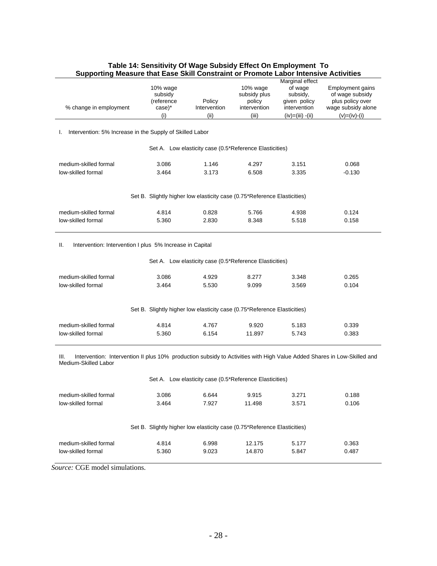| Supporting measure that Ease Skill Constraint or Fromote Labor intensive Activities                                                                          |                                                                          |                                                                                                                                                                         |                                                             |                                                                                                 |                                                                                                            |  |  |
|--------------------------------------------------------------------------------------------------------------------------------------------------------------|--------------------------------------------------------------------------|-------------------------------------------------------------------------------------------------------------------------------------------------------------------------|-------------------------------------------------------------|-------------------------------------------------------------------------------------------------|------------------------------------------------------------------------------------------------------------|--|--|
| % change in employment                                                                                                                                       | 10% wage<br>subsidy<br>(reference<br>case)*<br>(i)                       | Policy<br>Intervention<br>(ii)                                                                                                                                          | 10% wage<br>subsidy plus<br>policy<br>intervention<br>(iii) | Marginal effect<br>of wage<br>subsidy,<br>given policy<br>intervention<br>$(iv) = (iii) - (ii)$ | <b>Employment gains</b><br>of wage subsidy<br>plus policy over<br>wage subsidy alone<br>$(v) = (iv) - (i)$ |  |  |
|                                                                                                                                                              |                                                                          |                                                                                                                                                                         |                                                             |                                                                                                 |                                                                                                            |  |  |
| Intervention: 5% Increase in the Supply of Skilled Labor<br>ı.                                                                                               |                                                                          |                                                                                                                                                                         |                                                             |                                                                                                 |                                                                                                            |  |  |
|                                                                                                                                                              |                                                                          | Set A. Low elasticity case (0.5*Reference Elasticities)                                                                                                                 |                                                             |                                                                                                 |                                                                                                            |  |  |
| medium-skilled formal                                                                                                                                        | 3.086                                                                    | 1.146                                                                                                                                                                   | 4.297                                                       | 3.151                                                                                           | 0.068                                                                                                      |  |  |
| low-skilled formal                                                                                                                                           | 3.464                                                                    | 3.173                                                                                                                                                                   | 6.508                                                       | 3.335                                                                                           | $-0.130$                                                                                                   |  |  |
|                                                                                                                                                              |                                                                          | Set B. Slightly higher low elasticity case (0.75*Reference Elasticities)                                                                                                |                                                             |                                                                                                 |                                                                                                            |  |  |
| medium-skilled formal                                                                                                                                        | 4.814                                                                    | 0.828                                                                                                                                                                   | 5.766                                                       | 4.938                                                                                           | 0.124                                                                                                      |  |  |
| low-skilled formal                                                                                                                                           | 5.360                                                                    | 2.830                                                                                                                                                                   | 8.348                                                       | 5.518                                                                                           | 0.158                                                                                                      |  |  |
| Intervention: Intervention I plus 5% Increase in Capital<br>Ш.<br>medium-skilled formal<br>low-skilled formal<br>medium-skilled formal<br>low-skilled formal | 3.086<br>3.464<br>4.814<br>5.360                                         | Set A. Low elasticity case (0.5*Reference Elasticities)<br>4.929<br>5.530<br>Set B. Slightly higher low elasticity case (0.75*Reference Elasticities)<br>4.767<br>6.154 | 8.277<br>9.099<br>9.920<br>11.897                           | 3.348<br>3.569<br>5.183<br>5.743                                                                | 0.265<br>0.104<br>0.339<br>0.383                                                                           |  |  |
| Intervention: Intervention II plus 10% production subsidy to Activities with High Value Added Shares in Low-Skilled and<br>III.<br>Medium-Skilled Labor      |                                                                          |                                                                                                                                                                         |                                                             |                                                                                                 |                                                                                                            |  |  |
|                                                                                                                                                              |                                                                          | Set A. Low elasticity case (0.5*Reference Elasticities)                                                                                                                 |                                                             |                                                                                                 |                                                                                                            |  |  |
| medium-skilled formal                                                                                                                                        | 3.086                                                                    | 6.644                                                                                                                                                                   | 9.915                                                       | 3.271                                                                                           | 0.188                                                                                                      |  |  |
| low-skilled formal                                                                                                                                           | 3.464                                                                    | 7.927                                                                                                                                                                   | 11.498                                                      | 3.571                                                                                           | 0.106                                                                                                      |  |  |
|                                                                                                                                                              | Set B. Slightly higher low elasticity case (0.75*Reference Elasticities) |                                                                                                                                                                         |                                                             |                                                                                                 |                                                                                                            |  |  |
| medium-skilled formal                                                                                                                                        | 4.814                                                                    | 6.998                                                                                                                                                                   | 12.175                                                      | 5.177                                                                                           | 0.363                                                                                                      |  |  |
| low-skilled formal                                                                                                                                           | 5.360                                                                    | 9.023                                                                                                                                                                   | 14.870                                                      | 5.847                                                                                           | 0.487                                                                                                      |  |  |

#### **Table 14: Sensitivity Of Wage Subsidy Effect On Employment To Supporting Measure that Ease Skill Constraint or Promote Labor Intensive Activities**

*Source:* CGE model simulations.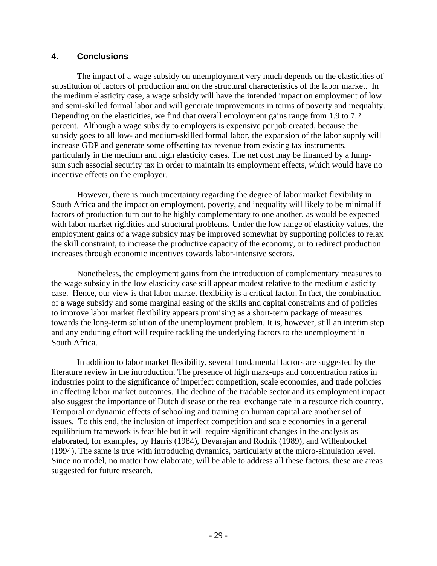# **4. Conclusions**

The impact of a wage subsidy on unemployment very much depends on the elasticities of substitution of factors of production and on the structural characteristics of the labor market. In the medium elasticity case, a wage subsidy will have the intended impact on employment of low and semi-skilled formal labor and will generate improvements in terms of poverty and inequality. Depending on the elasticities, we find that overall employment gains range from 1.9 to 7.2 percent. Although a wage subsidy to employers is expensive per job created, because the subsidy goes to all low- and medium-skilled formal labor, the expansion of the labor supply will increase GDP and generate some offsetting tax revenue from existing tax instruments, particularly in the medium and high elasticity cases. The net cost may be financed by a lumpsum such associal security tax in order to maintain its employment effects, which would have no incentive effects on the employer.

However, there is much uncertainty regarding the degree of labor market flexibility in South Africa and the impact on employment, poverty, and inequality will likely to be minimal if factors of production turn out to be highly complementary to one another, as would be expected with labor market rigidities and structural problems. Under the low range of elasticity values, the employment gains of a wage subsidy may be improved somewhat by supporting policies to relax the skill constraint, to increase the productive capacity of the economy, or to redirect production increases through economic incentives towards labor-intensive sectors.

Nonetheless, the employment gains from the introduction of complementary measures to the wage subsidy in the low elasticity case still appear modest relative to the medium elasticity case. Hence, our view is that labor market flexibility is a critical factor. In fact, the combination of a wage subsidy and some marginal easing of the skills and capital constraints and of policies to improve labor market flexibility appears promising as a short-term package of measures towards the long-term solution of the unemployment problem. It is, however, still an interim step and any enduring effort will require tackling the underlying factors to the unemployment in South Africa.

In addition to labor market flexibility, several fundamental factors are suggested by the literature review in the introduction. The presence of high mark-ups and concentration ratios in industries point to the significance of imperfect competition, scale economies, and trade policies in affecting labor market outcomes. The decline of the tradable sector and its employment impact also suggest the importance of Dutch disease or the real exchange rate in a resource rich country. Temporal or dynamic effects of schooling and training on human capital are another set of issues. To this end, the inclusion of imperfect competition and scale economies in a general equilibrium framework is feasible but it will require significant changes in the analysis as elaborated, for examples, by Harris (1984), Devarajan and Rodrik (1989), and Willenbockel (1994). The same is true with introducing dynamics, particularly at the micro-simulation level. Since no model, no matter how elaborate, will be able to address all these factors, these are areas suggested for future research.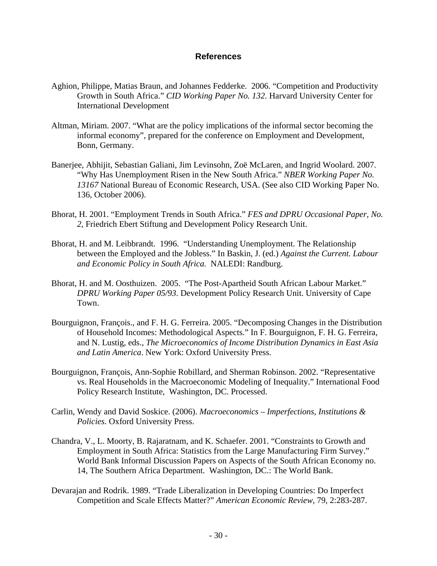## **References**

- Aghion, Philippe, Matias Braun, and Johannes Fedderke. 2006. "Competition and Productivity Growth in South Africa." *CID Working Paper No. 132*. Harvard University Center for International Development
- Altman, Miriam. 2007. "What are the policy implications of the informal sector becoming the informal economy", prepared for the conference on Employment and Development, Bonn, Germany.
- Banerjee, Abhijit, Sebastian Galiani, Jim Levinsohn, Zoë McLaren, and Ingrid Woolard. 2007. "Why Has Unemployment Risen in the New South Africa." *NBER Working Paper No. 13167* National Bureau of Economic Research, USA. (See also CID Working Paper No. 136, October 2006).
- Bhorat, H. 2001. "Employment Trends in South Africa." *FES and DPRU Occasional Paper, No. 2*, Friedrich Ebert Stiftung and Development Policy Research Unit.
- Bhorat, H. and M. Leibbrandt. 1996. "Understanding Unemployment. The Relationship between the Employed and the Jobless." In Baskin, J. (ed.) *Against the Current. Labour and Economic Policy in South Africa.* NALEDI: Randburg.
- Bhorat, H. and M. Oosthuizen. 2005. "The Post-Apartheid South African Labour Market." *DPRU Working Paper 05/93*. Development Policy Research Unit. University of Cape Town.
- Bourguignon, François., and F. H. G. Ferreira. 2005. "Decomposing Changes in the Distribution of Household Incomes: Methodological Aspects." In F. Bourguignon, F. H. G. Ferreira, and N. Lustig, eds., *The Microeconomics of Income Distribution Dynamics in East Asia and Latin America*. New York: Oxford University Press.
- Bourguignon, François, Ann-Sophie Robillard, and Sherman Robinson. 2002. "Representative vs. Real Households in the Macroeconomic Modeling of Inequality." International Food Policy Research Institute, Washington, DC. Processed.
- Carlin, Wendy and David Soskice. (2006). *Macroeconomics Imperfections, Institutions & Policies.* Oxford University Press.
- Chandra, V., L. Moorty, B. Rajaratnam, and K. Schaefer. 2001. "Constraints to Growth and Employment in South Africa: Statistics from the Large Manufacturing Firm Survey." World Bank Informal Discussion Papers on Aspects of the South African Economy no. 14, The Southern Africa Department. Washington, DC.: The World Bank.
- Devarajan and Rodrik. 1989. "Trade Liberalization in Developing Countries: Do Imperfect Competition and Scale Effects Matter?" *American Economic Review*, 79, 2:283-287.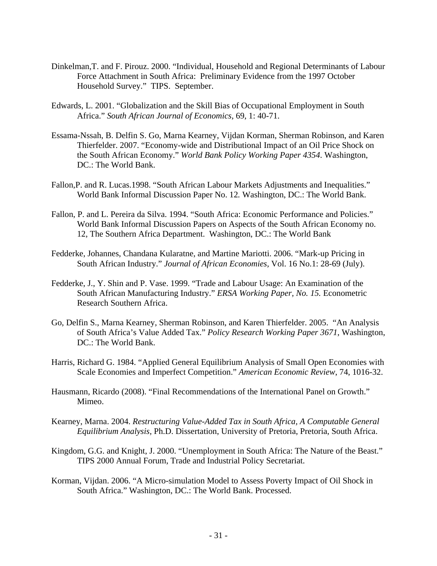- Dinkelman,T. and F. Pirouz. 2000. "Individual, Household and Regional Determinants of Labour Force Attachment in South Africa: Preliminary Evidence from the 1997 October Household Survey." TIPS. September.
- Edwards, L. 2001. "Globalization and the Skill Bias of Occupational Employment in South Africa." *South African Journal of Economics,* 69, 1: 40-71.
- Essama-Nssah, B. Delfin S. Go, Marna Kearney, Vijdan Korman, Sherman Robinson, and Karen Thierfelder. 2007. "Economy-wide and Distributional Impact of an Oil Price Shock on the South African Economy." *World Bank Policy Working Paper 4354*. Washington, DC.: The World Bank.
- Fallon,P. and R. Lucas.1998. "South African Labour Markets Adjustments and Inequalities." World Bank Informal Discussion Paper No. 12*.* Washington, DC.: The World Bank.
- Fallon, P. and L. Pereira da Silva. 1994. "South Africa: Economic Performance and Policies." World Bank Informal Discussion Papers on Aspects of the South African Economy no. 12, The Southern Africa Department. Washington, DC.: The World Bank
- Fedderke, Johannes, Chandana Kularatne, and Martine Mariotti. 2006. "Mark-up Pricing in South African Industry." *Journal of African Economies,* Vol. 16 No.1: 28-69 (July).
- Fedderke, J., Y. Shin and P. Vase. 1999. "Trade and Labour Usage: An Examination of the South African Manufacturing Industry." *ERSA Working Paper, No. 15.* Econometric Research Southern Africa.
- Go, Delfin S., Marna Kearney, Sherman Robinson, and Karen Thierfelder. 2005. "An Analysis of South Africa's Value Added Tax." *Policy Research Working Paper 3671*, Washington, DC.: The World Bank.
- Harris, Richard G. 1984. "Applied General Equilibrium Analysis of Small Open Economies with Scale Economies and Imperfect Competition." *American Economic Review*, 74, 1016-32.
- Hausmann, Ricardo (2008). "Final Recommendations of the International Panel on Growth." Mimeo.
- Kearney, Marna. 2004. *Restructuring Value-Added Tax in South Africa, A Computable General Equilibrium Analysis,* Ph.D. Dissertation, University of Pretoria, Pretoria, South Africa.
- Kingdom, G.G. and Knight, J. 2000. "Unemployment in South Africa: The Nature of the Beast." TIPS 2000 Annual Forum, Trade and Industrial Policy Secretariat.
- Korman, Vijdan. 2006. "A Micro-simulation Model to Assess Poverty Impact of Oil Shock in South Africa." Washington, DC.: The World Bank. Processed.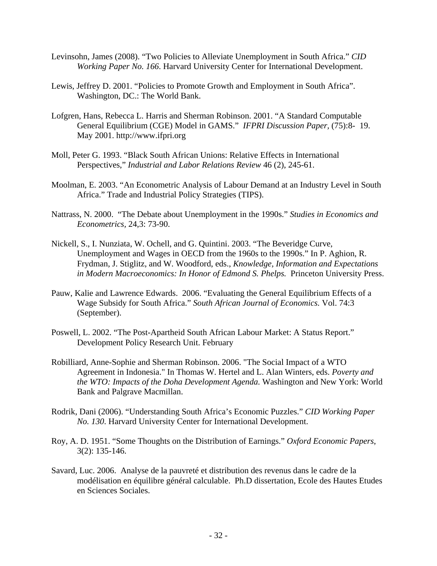- Levinsohn, James (2008). "Two Policies to Alleviate Unemployment in South Africa." *CID Working Paper No. 166*. Harvard University Center for International Development.
- Lewis, Jeffrey D. 2001. "Policies to Promote Growth and Employment in South Africa". Washington, DC.: The World Bank.
- Lofgren, Hans, Rebecca L. Harris and Sherman Robinson. 2001. "A Standard Computable General Equilibrium (CGE) Model in GAMS." *IFPRI Discussion Paper,* (75):8- 19. May 2001. http://www.ifpri.org
- Moll, Peter G. 1993. "Black South African Unions: Relative Effects in International Perspectives," *Industrial and Labor Relations Review* 46 (2), 245-61.
- Moolman, E. 2003. "An Econometric Analysis of Labour Demand at an Industry Level in South Africa." Trade and Industrial Policy Strategies (TIPS).
- Nattrass, N. 2000. "The Debate about Unemployment in the 1990s." *Studies in Economics and Econometrics,* 24,3: 73-90.
- Nickell, S., I. Nunziata, W. Ochell, and G. Quintini. 2003. "The Beveridge Curve, Unemployment and Wages in OECD from the 1960s to the 1990s." In P. Aghion, R. Frydman, J. Stiglitz, and W. Woodford, eds., *Knowledge, Information and Expectations in Modern Macroeconomics: In Honor of Edmond S. Phelps.* Princeton University Press.
- Pauw, Kalie and Lawrence Edwards. 2006. "Evaluating the General Equilibrium Effects of a Wage Subsidy for South Africa." *South African Journal of Economics.* Vol. 74:3 (September).
- Poswell, L. 2002. "The Post-Apartheid South African Labour Market: A Status Report." Development Policy Research Unit. February
- Robilliard, Anne-Sophie and Sherman Robinson. 2006. "The Social Impact of a WTO Agreement in Indonesia." In Thomas W. Hertel and L. Alan Winters, eds. *Poverty and the WTO: Impacts of the Doha Development Agenda.* Washington and New York: World Bank and Palgrave Macmillan.
- Rodrik, Dani (2006). "Understanding South Africa's Economic Puzzles." *CID Working Paper No. 130*. Harvard University Center for International Development.
- Roy, A. D. 1951. "Some Thoughts on the Distribution of Earnings." *Oxford Economic Papers*, 3(2): 135-146.
- Savard, Luc. 2006. Analyse de la pauvreté et distribution des revenus dans le cadre de la modélisation en équilibre général calculable. Ph.D dissertation, Ecole des Hautes Etudes en Sciences Sociales.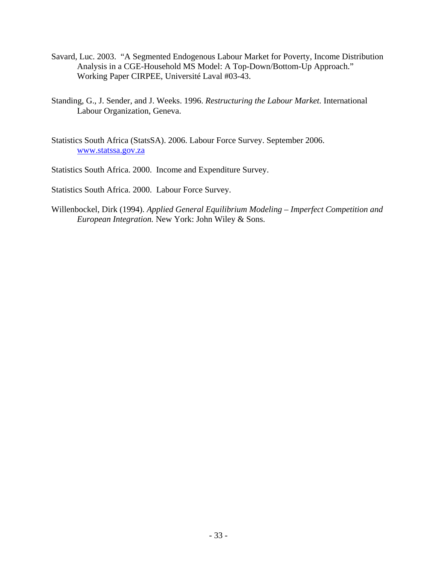- Savard, Luc. 2003. "A Segmented Endogenous Labour Market for Poverty, Income Distribution Analysis in a CGE-Household MS Model: A Top-Down/Bottom-Up Approach." Working Paper CIRPEE, Université Laval #03-43.
- Standing, G., J. Sender, and J. Weeks. 1996. *Restructuring the Labour Market.* International Labour Organization, Geneva.
- Statistics South Africa (StatsSA). 2006. Labour Force Survey. September 2006. [www.statssa.gov.za](http://www.statssa.gov.za/)
- Statistics South Africa. 2000. Income and Expenditure Survey.

Statistics South Africa. 2000. Labour Force Survey.

Willenbockel, Dirk (1994). *Applied General Equilibrium Modeling – Imperfect Competition and European Integration.* New York: John Wiley & Sons.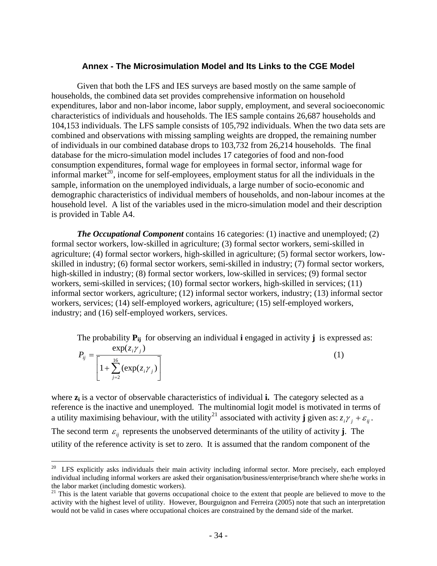#### **Annex - The Microsimulation Model and Its Links to the CGE Model**

Given that both the LFS and IES surveys are based mostly on the same sample of households, the combined data set provides comprehensive information on household expenditures, labor and non-labor income, labor supply, employment, and several socioeconomic characteristics of individuals and households. The IES sample contains 26,687 households and 104,153 individuals. The LFS sample consists of 105,792 individuals. When the two data sets are combined and observations with missing sampling weights are dropped, the remaining number of individuals in our combined database drops to 103,732 from 26,214 households. The final database for the micro-simulation model includes 17 categories of food and non-food consumption expenditures, formal wage for employees in formal sector, informal wage for informal market<sup>[20](#page-35-0)</sup>, income for self-employees, employment status for all the individuals in the sample, information on the unemployed individuals, a large number of socio-economic and demographic characteristics of individual members of households, and non-labour incomes at the household level. A list of the variables used in the micro-simulation model and their description is provided in Table A4.

*The Occupational Component* contains 16 categories: (1) inactive and unemployed; (2) formal sector workers, low-skilled in agriculture; (3) formal sector workers, semi-skilled in agriculture; (4) formal sector workers, high-skilled in agriculture; (5) formal sector workers, lowskilled in industry; (6) formal sector workers, semi-skilled in industry; (7) formal sector workers, high-skilled in industry; (8) formal sector workers, low-skilled in services; (9) formal sector workers, semi-skilled in services; (10) formal sector workers, high-skilled in services; (11) informal sector workers, agriculture; (12) informal sector workers, industry; (13) informal sector workers, services; (14) self-employed workers, agriculture; (15) self-employed workers, industry; and (16) self-employed workers, services.

The probability **Pij** for observing an individual **i** engaged in activity **j** is expressed as:

$$
P_{ij} = \frac{\exp(z_i \gamma_j)}{\left[1 + \sum_{j=2}^{16} (\exp(z_i \gamma_j))\right]}
$$
(1)

where  $z_i$  is a vector of observable characteristics of individual **i.** The category selected as a reference is the inactive and unemployed. The multinomial logit model is motivated in terms of a utility maximising behaviour, with the utility<sup>[21](#page-35-1)</sup> associated with activity **j** given as:  $z_i \gamma_i + \varepsilon_{ij}$ . The second term  $\varepsilon_{ij}$  represents the unobserved determinants of the utility of activity **j**. The utility of the reference activity is set to zero. It is assumed that the random component of the

<u>.</u>

<span id="page-35-0"></span> $20$  LFS explicitly asks individuals their main activity including informal sector. More precisely, each employed individual including informal workers are asked their organisation/business/enterprise/branch where she/he works in the labor market (including domestic workers).

<span id="page-35-1"></span><sup>&</sup>lt;sup>21</sup> This is the latent variable that governs occupational choice to the extent that people are believed to move to the activity with the highest level of utility. However, Bourguignon and Ferreira (2005) note that such an interpretation would not be valid in cases where occupational choices are constrained by the demand side of the market.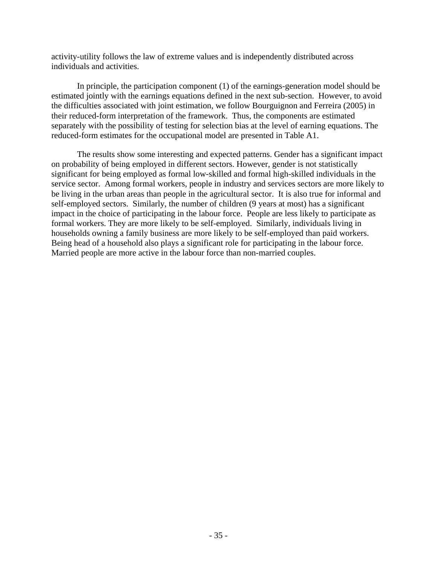activity-utility follows the law of extreme values and is independently distributed across individuals and activities.

In principle, the participation component (1) of the earnings-generation model should be estimated jointly with the earnings equations defined in the next sub-section. However, to avoid the difficulties associated with joint estimation, we follow Bourguignon and Ferreira (2005) in their reduced-form interpretation of the framework. Thus, the components are estimated separately with the possibility of testing for selection bias at the level of earning equations. The reduced-form estimates for the occupational model are presented in Table A1.

The results show some interesting and expected patterns. Gender has a significant impact on probability of being employed in different sectors. However, gender is not statistically significant for being employed as formal low-skilled and formal high-skilled individuals in the service sector. Among formal workers, people in industry and services sectors are more likely to be living in the urban areas than people in the agricultural sector. It is also true for informal and self-employed sectors. Similarly, the number of children (9 years at most) has a significant impact in the choice of participating in the labour force. People are less likely to participate as formal workers. They are more likely to be self-employed. Similarly, individuals living in households owning a family business are more likely to be self-employed than paid workers. Being head of a household also plays a significant role for participating in the labour force. Married people are more active in the labour force than non-married couples.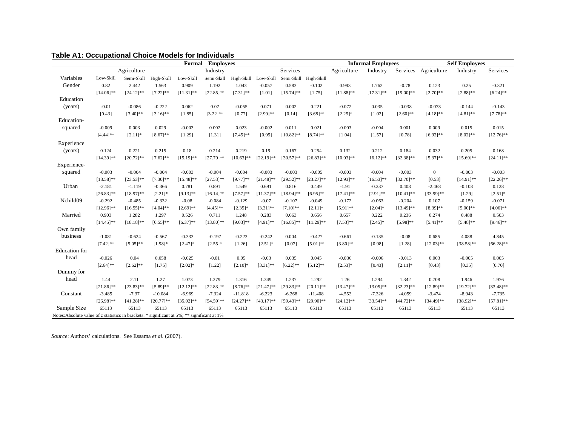| Formal<br><b>Employees</b>                                                                   |                |                |               |               |              |                      |              |                       | <b>Informal Employees</b> |              |              | <b>Self Employees</b> |                |                |              |
|----------------------------------------------------------------------------------------------|----------------|----------------|---------------|---------------|--------------|----------------------|--------------|-----------------------|---------------------------|--------------|--------------|-----------------------|----------------|----------------|--------------|
|                                                                                              |                | Agriculture    |               |               | Industry     |                      |              | Services              |                           | Agriculture  | Industry     | Services              | Agriculture    | Industry       | Services     |
| Variables                                                                                    | Low-Skill      | Semi-Skill     | High-Skill    | Low-Skill     | Semi-Skill   | High-Skill Low-Skill |              | Semi-Skill            | High-Skill                |              |              |                       |                |                |              |
| Gender                                                                                       | 0.82           | 2.442          | 1.563         | 0.909         | 1.192        | 1.043                | $-0.057$     | 0.583                 | $-0.102$                  | 0.993        | 1.762        | $-0.78$               | 0.123          | 0.25           | $-0.321$     |
|                                                                                              | $[14.06]$ **   | $[24.12]$ **   | $[7.22]$ **   | $[11.31]$ **  | $[22.85]$ ** | $[7.31]$ **          | [1.01]       | $[15.74]$ **          | [1.75]                    | $[11.88]$ ** | $[17.31]$ ** | $[19.00]$ **          | $[2.70]$ **    | $[2.88]^{**}$  | $[6.24]$ **  |
| Education                                                                                    |                |                |               |               |              |                      |              |                       |                           |              |              |                       |                |                |              |
| (years)                                                                                      | $-0.01$        | $-0.086$       | $-0.222$      | 0.062         | 0.07         | $-0.055$             | 0.071        | 0.002                 | 0.221                     | $-0.072$     | 0.035        | $-0.038$              | $-0.073$       | $-0.144$       | $-0.143$     |
|                                                                                              | [0.43]         | $[3.40]$ **    | $[3.16]$ **   | [1.85]        | $[3.22]$ **  | [0.77]               | $[2.99]$ **  | [0.14]                | $[3.68]$ **               | $[2.25]*$    | [1.02]       | $[2.60]$ **           | $[4.18]$ **    | $[4.81]$ **    | $[7.78]$ **  |
| Education-                                                                                   |                |                |               |               |              |                      |              |                       |                           |              |              |                       |                |                |              |
| squared                                                                                      | $-0.009$       | 0.003          | 0.029         | $-0.003$      | 0.002        | 0.023                | $-0.002$     | 0.011                 | 0.021                     | $-0.003$     | $-0.004$     | 0.001                 | 0.009          | 0.015          | 0.015        |
|                                                                                              | $[4.44]$ **    | $[2.11]*$      | $[8.67]^{**}$ | [1.29]        | [1.31]       | $[7.45]$ **          | [0.95]       | $[10.82]$ **          | $[8.74]^{**}$             | [1.04]       | [1.57]       | [0.78]                | $[6.92]$ **    | $[8.02]^{**}$  | $[12.76]$ ** |
| Experience                                                                                   |                |                |               |               |              |                      |              |                       |                           |              |              |                       |                |                |              |
| (years)                                                                                      | 0.124          | 0.221          | 0.215         | 0.18          | 0.214        | 0.219                | 0.19         | 0.167                 | 0.254                     | 0.132        | 0.212        | 0.184                 | 0.032          | 0.205          | 0.168        |
|                                                                                              | $[14.39]$ **   | $[20.72]$ **   | $[7.62]$ **   | $[15.19]$ **  | $[27.79]$ ** | $[10.63]$ **         | $[22.19]$ ** | $[30.57]**$           | $[26.83]$ **              | $[10.93]$ ** | $[16.12]$ ** | $[32.38]^{**}$        | $[5.37]^{**}$  | $[15.69]$ **   | $[24.11]$ ** |
| Experience-                                                                                  |                |                |               |               |              |                      |              |                       |                           |              |              |                       |                |                |              |
| squared                                                                                      | $-0.003$       | $-0.004$       | $-0.004$      | $-0.003$      | $-0.004$     | $-0.004$             | $-0.003$     | $-0.003$              | $-0.005$                  | $-0.003$     | $-0.004$     | $-0.003$              | $\overline{0}$ | $-0.003$       | $-0.003$     |
|                                                                                              | $[18.58]^{**}$ | $[23.53]^{**}$ | $[7.30]$ **   | $[15.48]$ **  | $[27.53]$ ** | $[9.77]$ **          | $[21.48]$ ** | $[29.52]$ **          | $[23.27]**$               | $[12.93]$ ** | $[16.53]$ ** | $[32.70]$ **          | [0.53]         | $[14.91]$ **   | $[22.26]$ ** |
| Urban                                                                                        | $-2.181$       | $-1.119$       | $-0.366$      | 0.781         | 0.891        | 1.549                | 0.691        | 0.816                 | 0.449                     | $-1.91$      | $-0.237$     | 0.408                 | $-2.468$       | $-0.108$       | 0.128        |
|                                                                                              | $[26.83]$ **   | $[18.97]**$    | $[2.21]$ *    | $[9.13]$ **   | $[16.14]$ ** | $[7.57]$ **          | $[11.37]**$  | $18.94$ <sup>**</sup> | $[6.95]$ **               | $[17.41]$ ** | $[2.91]$ **  | $[10.41]$ **          | [33.99]**      | [1.29]         | $[2.51]$ *   |
| Nchild09                                                                                     | $-0.292$       | $-0.485$       | $-0.332$      | $-0.08$       | $-0.084$     | $-0.129$             | $-0.07$      | $-0.107$              | $-0.049$                  | $-0.172$     | $-0.063$     | $-0.204$              | 0.107          | $-0.159$       | $-0.071$     |
|                                                                                              | $[12.96]$ **   | $[16.55]$ **   | $[4.04]$ **   | $[2.69]$ **   | $[4.45]$ **  | $[2.35]$ *           | $[3.31]$ **  | $[7.10]$ **           | $[2.11]$ *                | $[5.91]$ **  | $[2.04]*$    | $[13.49]$ **          | $[8.39]^{**}$  | $[5.00]^{**}$  | $[4.06]$ **  |
| Married                                                                                      | 0.903          | 1.282          | 1.297         | 0.526         | 0.711        | 1.248                | 0.283        | 0.663                 | 0.656                     | 0.657        | 0.222        | 0.236                 | 0.274          | 0.488          | 0.503        |
|                                                                                              | $[14.45]$ **   | $[18.18]$ **   | $[6.55]^{**}$ | $[6.37]^{**}$ | $[13.80]$ ** | $[9.03]$ **          | $[4.91]$ **  | $[16.85]$ **          | $[11.29]$ **              | $[7.53]$ **  | $[2.45]$ *   | $[5.98]$ **           | $[5.41]$ **    | $[5.48]$ **    | $[9.46]$ **  |
| Own family                                                                                   |                |                |               |               |              |                      |              |                       |                           |              |              |                       |                |                |              |
| business                                                                                     | $-1.081$       | $-0.624$       | $-0.567$      | $-0.333$      | $-0.197$     | $-0.223$             | $-0.242$     | 0.004                 | $-0.427$                  | $-0.661$     | $-0.135$     | $-0.08$               | 0.685          | 4.088          | 4.845        |
|                                                                                              | $[7.42]$ **    | $[5.05]^{**}$  | $[1.98]$ *    | $[2.47]$ *    | $[2.55]$ *   | [1.26]               | $[2.51]$ *   | [0.07]                | $[5.01]$ **               | $[3.80]$ **  | [0.98]       | [1.28]                | $[12.03]$ **   | $[38.58]^{**}$ | $[66.28]$ ** |
| <b>Education</b> for                                                                         |                |                |               |               |              |                      |              |                       |                           |              |              |                       |                |                |              |
| head                                                                                         | $-0.026$       | 0.04           | 0.058         | $-0.025$      | $-0.01$      | 0.05                 | $-0.03$      | 0.035                 | 0.045                     | $-0.036$     | $-0.006$     | $-0.013$              | 0.003          | $-0.005$       | 0.005        |
|                                                                                              | $[2.64]$ **    | $[2.62]$ **    | [1.75]        | $[2.02]*$     | [1.22]       | $[2.10]*$            | $[3.31]$ **  | $[6.22]$ **           | $[5.12]$ **               | $[2.53]*$    | [0.43]       | $[2.11]*$             | [0.43]         | [0.35]         | [0.70]       |
| Dummy for                                                                                    |                |                |               |               |              |                      |              |                       |                           |              |              |                       |                |                |              |
| head                                                                                         | 1.44           | 2.11           | 1.27          | 1.073         | 1.279        | 1.316                | 1.349        | 1.237                 | 1.292                     | 1.26         | 1.294        | 1.342                 | 0.708          | 1.946          | 1.976        |
|                                                                                              | $[21.86]$ **   | $[23.83]^{**}$ | $[5.89]$ **   | $[12.12]$ **  | $[22.83]$ ** | $[8.76]$ **          | $[21.47]$ ** | $[29.83]$ **          | $[20.11]$ **              | $[13.47]$ ** | $[13.05]$ ** | $[32.23]$ **          | $[12.89]$ **   | $[19.72]$ **   | $[33.48]$ ** |
| Constant                                                                                     | $-3.485$       | $-7.37$        | $-10.084$     | $-6.969$      | $-7.324$     | $-11.818$            | $-6.223$     | $-6.268$              | $-11.408$                 | $-4.552$     | $-7.326$     | $-4.059$              | $-3.474$       | $-8.943$       | $-7.735$     |
|                                                                                              | $[26.98]$ **   | $[41.28]$ **   | $[20.77]$ **  | $[35.02]$ **  | $[54.59]$ ** | $[24.27]$ **         | $[43.17]$ ** | $[59.43]^{**}$        | $[29.90]$ **              | $[24.12]$ ** | $[33.54]$ ** | $[44.72]$ **          | $[34.49]$ **   | $[38.92]^{**}$ | $[57.81]$ ** |
| Sample Size                                                                                  | 65113          | 65113          | 65113         | 65113         | 65113        | 65113                | 65113        | 65113                 | 65113                     | 65113        | 65113        | 65113                 | 65113          | 65113          | 65113        |
| Notes: Absolute value of z statistics in brackets. * significant at 5%; ** significant at 1% |                |                |               |               |              |                      |              |                       |                           |              |              |                       |                |                |              |

## **Table A1: Occupational Choice Models for Individuals**

*Source*: Authors' calculations. See Essama *et al.* (2007).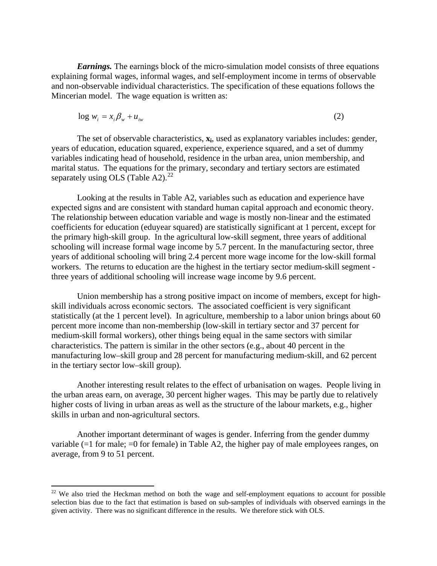*Earnings.* The earnings block of the micro-simulation model consists of three equations explaining formal wages, informal wages, and self-employment income in terms of observable and non-observable individual characteristics. The specification of these equations follows the Mincerian model. The wage equation is written as:

$$
\log w_i = x_i \beta_w + u_{iw} \tag{2}
$$

The set of observable characteristics, **xi**, used as explanatory variables includes: gender, years of education, education squared, experience, experience squared, and a set of dummy variables indicating head of household, residence in the urban area, union membership, and marital status. The equations for the primary, secondary and tertiary sectors are estimated separately using OLS (Table A2). $^{22}$  $^{22}$  $^{22}$ 

Looking at the results in Table A2, variables such as education and experience have expected signs and are consistent with standard human capital approach and economic theory. The relationship between education variable and wage is mostly non-linear and the estimated coefficients for education (eduyear squared) are statistically significant at 1 percent, except for the primary high-skill group. In the agricultural low-skill segment, three years of additional schooling will increase formal wage income by 5.7 percent. In the manufacturing sector, three years of additional schooling will bring 2.4 percent more wage income for the low-skill formal workers. The returns to education are the highest in the tertiary sector medium-skill segment three years of additional schooling will increase wage income by 9.6 percent.

Union membership has a strong positive impact on income of members, except for highskill individuals across economic sectors. The associated coefficient is very significant statistically (at the 1 percent level). In agriculture, membership to a labor union brings about 60 percent more income than non-membership (low-skill in tertiary sector and 37 percent for medium-skill formal workers), other things being equal in the same sectors with similar characteristics. The pattern is similar in the other sectors (e.g., about 40 percent in the manufacturing low–skill group and 28 percent for manufacturing medium-skill, and 62 percent in the tertiary sector low–skill group).

Another interesting result relates to the effect of urbanisation on wages. People living in the urban areas earn, on average, 30 percent higher wages. This may be partly due to relatively higher costs of living in urban areas as well as the structure of the labour markets, e.g., higher skills in urban and non-agricultural sectors.

Another important determinant of wages is gender. Inferring from the gender dummy variable  $(=1$  for male;  $=0$  for female) in Table A2, the higher pay of male employees ranges, on average, from 9 to 51 percent.

<span id="page-38-0"></span> $22$  We also tried the Heckman method on both the wage and self-employment equations to account for possible selection bias due to the fact that estimation is based on sub-samples of individuals with observed earnings in the given activity. There was no significant difference in the results. We therefore stick with OLS.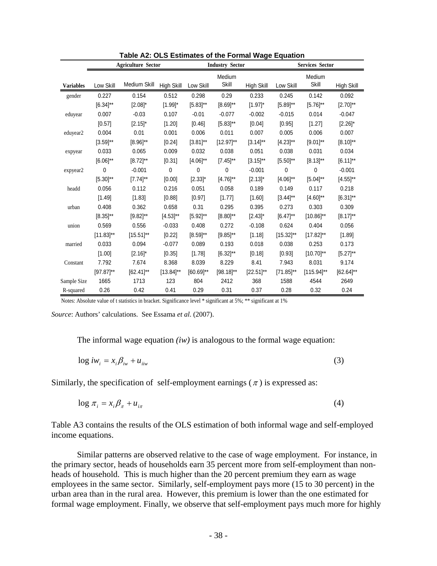|                  |                | <b>Agriculture Sector</b> | <b>Industry Sector</b> |                |                 | <b>Services Sector</b> |                |                 |                |
|------------------|----------------|---------------------------|------------------------|----------------|-----------------|------------------------|----------------|-----------------|----------------|
| <b>Variables</b> | Low Skill      | Medium Skill              | High Skill             | Low Skill      | Medium<br>Skill | High Skill             | Low Skill      | Medium<br>Skill | High Skill     |
| gender           | 0.227          | 0.154                     | 0.512                  | 0.298          | 0.29            | 0.233                  | 0.245          | 0.142           | 0.092          |
|                  | $[6.34]^{**}$  | $[2.08]^{*}$              | $[1.99]$ *             | $[5.83]^{**}$  | $[8.69]^{**}$   | $[1.97]$ *             | $[5.89]^{**}$  | $[5.76]^{**}$   | $[2.70]^{**}$  |
| eduyear          | 0.007          | $-0.03$                   | 0.107                  | $-0.01$        | $-0.077$        | $-0.002$               | $-0.015$       | 0.014           | $-0.047$       |
|                  | [0.57]         | $[2.15]$ *                | [1.20]                 | [0.46]         | $[5.83]^{**}$   | [0.04]                 | [0.95]         | [1.27]          | $[2.26]^{*}$   |
| eduyear2         | 0.004          | 0.01                      | 0.001                  | 0.006          | 0.011           | 0.007                  | 0.005          | 0.006           | 0.007          |
|                  | $[3.59]^{**}$  | $[8.96]^{**}$             | [0.24]                 | $[3.81]^{**}$  | $[12.97]^{**}$  | $[3.14]^{**}$          | $[4.23]^{**}$  | $[9.01]^{**}$   | $[8.10]^{**}$  |
| expyear          | 0.033          | 0.065                     | 0.009                  | 0.032          | 0.038           | 0.051                  | 0.038          | 0.031           | 0.034          |
|                  | $[6.06]^{**}$  | $[8.72]^{**}$             | [0.31]                 | $[4.06]^{**}$  | $[7.45]^{**}$   | $[3.15]^{**}$          | $[5.50]^{**}$  | $[8.13]^{**}$   | $[6.11]^{**}$  |
| expyear2         | 0              | $-0.001$                  | 0                      | 0              | 0               | $-0.001$               | 0              | 0               | $-0.001$       |
|                  | $[5.30]^{**}$  | $[7.74]^{**}$             | [0.00]                 | $[2.33]$ *     | $[4.76]^{**}$   | $[2.13]$ *             | $[4.06]^{**}$  | $[5.04]^{**}$   | $[4.55]^{**}$  |
| headd            | 0.056          | 0.112                     | 0.216                  | 0.051          | 0.058           | 0.189                  | 0.149          | 0.117           | 0.218          |
|                  | [1.49]         | [1.83]                    | [0.88]                 | [0.97]         | [1.77]          | [1.60]                 | $[3.44]$ **    | $[4.60]^{**}$   | $[6.31]^{**}$  |
| urban            | 0.408          | 0.362                     | 0.658                  | 0.31           | 0.295           | 0.395                  | 0.273          | 0.303           | 0.309          |
|                  | $[8.35]^{**}$  | $[9.82]^{**}$             | $[4.53]^{**}$          | $[5.92]^{**}$  | $[8.80]^{**}$   | $[2.43]$ *             | $[6.47]^{**}$  | $[10.86]^{**}$  | $[8.17]^{**}$  |
| union            | 0.569          | 0.556                     | $-0.033$               | 0.408          | 0.272           | $-0.108$               | 0.624          | 0.404           | 0.056          |
|                  | $[11.83]^{**}$ | $[15.51]^{**}$            | [0.22]                 | $[8.59]^{**}$  | $[9.85]^{**}$   | [1.18]                 | $[15.32]^{**}$ | $[17.82]^{**}$  | [1.89]         |
| married          | 0.033          | 0.094                     | $-0.077$               | 0.089          | 0.193           | 0.018                  | 0.038          | 0.253           | 0.173          |
|                  | [1.00]         | $[2.16]$ *                | [0.35]                 | [1.78]         | $[6.32]^{**}$   | [0.18]                 | [0.93]         | $[10.70]^{**}$  | $[5.27]^{**}$  |
| Constant         | 7.792          | 7.674                     | 8.368                  | 8.039          | 8.229           | 8.41                   | 7.943          | 8.031           | 9.174          |
|                  | $[97.87]^{**}$ | $[62.41]$ **              | $[13.84]^{**}$         | $[60.69]^{**}$ | $[98.18]^{**}$  | $[22.51]^{**}$         | $[71.85]^{**}$ | $[115.94]^{**}$ | $[62.64]^{**}$ |
| Sample Size      | 1665           | 1713                      | 123                    | 804            | 2412            | 368                    | 1588           | 4544            | 2649           |
| R-squared        | 0.26           | 0.42                      | 0.41                   | 0.29           | 0.31            | 0.37                   | 0.28           | 0.32            | 0.24           |

**Table A2: OLS Estimates of the Formal Wage Equation** 

Notes: Absolute value of t statistics in bracket. Significance level \* significant at 5%; \*\* significant at 1%

*Source*: Authors' calculations. See Essama *et al*. (2007).

The informal wage equation *(iw)* is analogous to the formal wage equation:

$$
\log iw_i = x_i \beta_{iw} + u_{iw} \tag{3}
$$

Similarly, the specification of self-employment earnings  $(\pi)$  is expressed as:

$$
\log \pi_i = x_i \beta_\pi + u_{i\pi} \tag{4}
$$

Table A3 contains the results of the OLS estimation of both informal wage and self-employed income equations.

Similar patterns are observed relative to the case of wage employment. For instance, in the primary sector, heads of households earn 35 percent more from self-employment than nonheads of household. This is much higher than the 20 percent premium they earn as wage employees in the same sector. Similarly, self-employment pays more (15 to 30 percent) in the urban area than in the rural area. However, this premium is lower than the one estimated for formal wage employment. Finally, we observe that self-employment pays much more for highly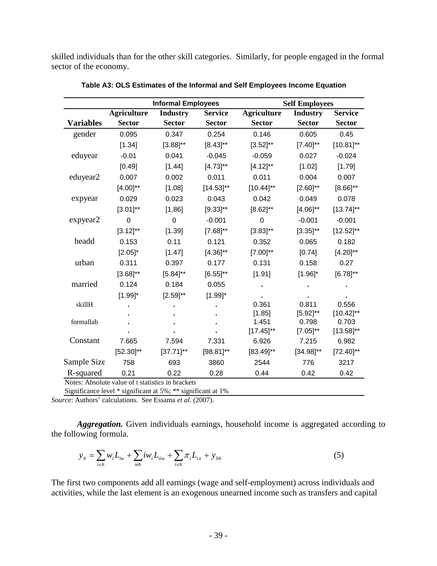skilled individuals than for the other skill categories. Similarly, for people engaged in the formal sector of the economy.

|                  |                                                              | <b>Informal Employees</b> |                | <b>Self Employees</b> |                 |                |  |  |
|------------------|--------------------------------------------------------------|---------------------------|----------------|-----------------------|-----------------|----------------|--|--|
|                  | <b>Agriculture</b>                                           | <b>Industry</b>           | <b>Service</b> | <b>Agriculture</b>    | <b>Industry</b> | <b>Service</b> |  |  |
| <b>Variables</b> | <b>Sector</b>                                                | <b>Sector</b>             | <b>Sector</b>  | <b>Sector</b>         | <b>Sector</b>   | <b>Sector</b>  |  |  |
| gender           | 0.095                                                        | 0.347                     | 0.254          | 0.146                 | 0.605           | 0.45           |  |  |
|                  | [1.34]                                                       | $[3.88]^{**}$             | $[8.43]^{**}$  | $[3.52]^{**}$         | $[7.40]^{**}$   | $[10.81]^{**}$ |  |  |
| eduyear          | $-0.01$                                                      | 0.041                     | $-0.045$       | $-0.059$              | 0.027           | $-0.024$       |  |  |
|                  | [0.49]                                                       | [1.44]                    | $[4.73]^{**}$  | $[4.12]^{**}$         | [1.02]          | [1.79]         |  |  |
| eduyear2         | 0.007                                                        | 0.002                     | 0.011          | 0.011                 | 0.004           | 0.007          |  |  |
|                  | $[4.00]^{**}$                                                | [1.08]                    | $[14.53]^{**}$ | $[10.44]^{**}$        | $[2.60]^{**}$   | $[8.66]^{**}$  |  |  |
| expyear          | 0.029                                                        | 0.023                     | 0.043          | 0.042                 | 0.049           | 0.078          |  |  |
|                  | $[3.01]^{**}$                                                | [1.86]                    | $[9.33]^{**}$  | $[8.62]^{**}$         | $[4.06]^{**}$   | $[13.74]^{**}$ |  |  |
| expyear2         | $\overline{0}$                                               | 0                         | $-0.001$       | $\mathbf 0$           | $-0.001$        | $-0.001$       |  |  |
|                  | $[3.12]^{**}$                                                | [1.39]                    | $[7.68]^{**}$  | $[3.83]^{**}$         | $[3.35]^{**}$   | $[12.52]^{**}$ |  |  |
| headd            | 0.153                                                        | 0.11                      | 0.121          | 0.352                 | 0.065           | 0.182          |  |  |
|                  | $[2.05]$ *                                                   | [1.47]                    | $[4.36]^{**}$  | $[7.00]^{**}$         | [0.74]          | $[4.20]^{**}$  |  |  |
| urban            | 0.311                                                        | 0.397                     | 0.177          | 0.131                 | 0.158           | 0.27           |  |  |
|                  | $[3.68]^{**}$                                                | $[5.84]^{**}$             | $[6.55]^{**}$  | [1.91]                | $[1.96]$ *      | $[6.78]^{**}$  |  |  |
| married          | 0.124                                                        | 0.184                     | 0.055          |                       |                 |                |  |  |
|                  | $[1.99]$ *                                                   | $[2.59]^{**}$             | $[1.99]$ *     |                       |                 |                |  |  |
| skillH           |                                                              |                           |                | 0.361                 | 0.811           | 0.556          |  |  |
|                  |                                                              |                           |                | [1.85]                | $[5.92]^{**}$   | $[10.42]^{**}$ |  |  |
| formallab        |                                                              |                           |                | 1.451                 | 0.798           | 0.703          |  |  |
|                  |                                                              |                           |                | $[17.45]$ **          | $[7.05]^{**}$   | $[13.58]^{**}$ |  |  |
| Constant         | 7.665                                                        | 7.594                     | 7.331          | 6.926                 | 7.215           | 6.982          |  |  |
|                  | $[52.30]^{**}$                                               | $[37.71]^{**}$            | $[98.81]$ **   | $[83.49]^{**}$        | $[34.98]^{**}$  | $[72.40]^{**}$ |  |  |
| Sample Size      | 758                                                          | 693                       | 3860           | 2544                  | 776             | 3217           |  |  |
| R-squared        | 0.21                                                         | 0.22                      | 0.28           | 0.44                  | 0.42            | 0.42           |  |  |
|                  | Notes: Absolute value of t statistics in brackets            |                           |                |                       |                 |                |  |  |
|                  | Significance level * significant at 5%; ** significant at 1% |                           |                |                       |                 |                |  |  |

**Table A3: OLS Estimates of the Informal and Self Employees Income Equation** 

*Source*: Authors' calculations. See Essama *et al*. (2007).

*Aggregation.* Given individuals earnings, household income is aggregated according to the following formula.

$$
y_h = \sum_{i \in h} w_i L_{iw} + \sum_{i \in h} i w_i L_{iw} + \sum_{i \in h} \pi_i L_{i\pi} + y_{0h}
$$
 (5)

The first two components add all earnings (wage and self-employment) across individuals and activities, while the last element is an exogenous unearned income such as transfers and capital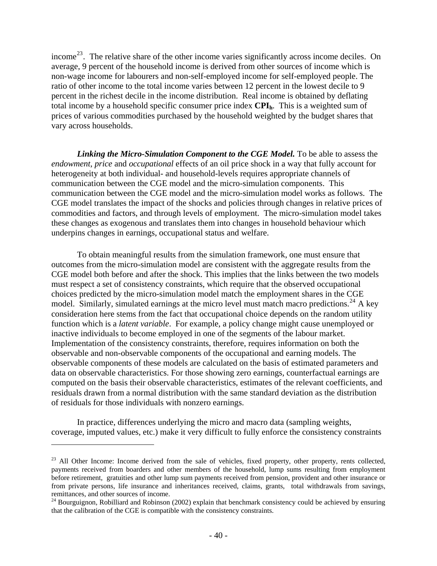income<sup>[23](#page-41-0)</sup>. The relative share of the other income varies significantly across income deciles. On average, 9 percent of the household income is derived from other sources of income which is non-wage income for labourers and non-self-employed income for self-employed people. The ratio of other income to the total income varies between 12 percent in the lowest decile to 9 percent in the richest decile in the income distribution. Real income is obtained by deflating total income by a household specific consumer price index CPI<sub>h</sub>. This is a weighted sum of prices of various commodities purchased by the household weighted by the budget shares that vary across households.

*Linking the Micro-Simulation Component to the CGE Model.* To be able to assess the *endowment*, *price* and *occupational* effects of an oil price shock in a way that fully account for heterogeneity at both individual- and household-levels requires appropriate channels of communication between the CGE model and the micro-simulation components. This communication between the CGE model and the micro-simulation model works as follows. The CGE model translates the impact of the shocks and policies through changes in relative prices of commodities and factors, and through levels of employment. The micro-simulation model takes these changes as exogenous and translates them into changes in household behaviour which underpins changes in earnings, occupational status and welfare.

To obtain meaningful results from the simulation framework, one must ensure that outcomes from the micro-simulation model are consistent with the aggregate results from the CGE model both before and after the shock. This implies that the links between the two models must respect a set of consistency constraints, which require that the observed occupational choices predicted by the micro-simulation model match the employment shares in the CGE model. Similarly, simulated earnings at the micro level must match macro predictions.<sup>[24](#page-41-1)</sup> A key consideration here stems from the fact that occupational choice depends on the random utility function which is a *latent variable*. For example, a policy change might cause unemployed or inactive individuals to become employed in one of the segments of the labour market. Implementation of the consistency constraints, therefore, requires information on both the observable and non-observable components of the occupational and earning models. The observable components of these models are calculated on the basis of estimated parameters and data on observable characteristics. For those showing zero earnings, counterfactual earnings are computed on the basis their observable characteristics, estimates of the relevant coefficients, and residuals drawn from a normal distribution with the same standard deviation as the distribution of residuals for those individuals with nonzero earnings.

In practice, differences underlying the micro and macro data (sampling weights, coverage, imputed values, etc.) make it very difficult to fully enforce the consistency constraints

<span id="page-41-0"></span><sup>&</sup>lt;sup>23</sup> All Other Income: Income derived from the sale of vehicles, fixed property, other property, rents collected, payments received from boarders and other members of the household, lump sums resulting from employment before retirement, gratuities and other lump sum payments received from pension, provident and other insurance or from private persons, life insurance and inheritances received, claims, grants, total withdrawals from savings,

<span id="page-41-1"></span>remittances, and other sources of income.24 Bourguignon, Robilliard and Robinson (2002) explain that benchmark consistency could be achieved by ensuring that the calibration of the CGE is compatible with the consistency constraints.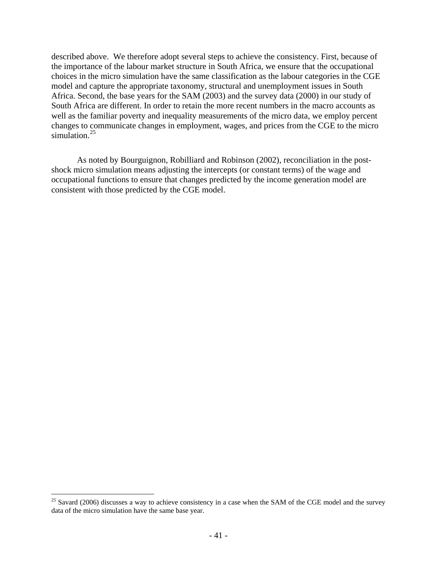described above. We therefore adopt several steps to achieve the consistency. First, because of the importance of the labour market structure in South Africa, we ensure that the occupational choices in the micro simulation have the same classification as the labour categories in the CGE model and capture the appropriate taxonomy, structural and unemployment issues in South Africa. Second, the base years for the SAM (2003) and the survey data (2000) in our study of South Africa are different. In order to retain the more recent numbers in the macro accounts as well as the familiar poverty and inequality measurements of the micro data, we employ percent changes to communicate changes in employment, wages, and prices from the CGE to the micro simulation. $25$ 

As noted by Bourguignon, Robilliard and Robinson (2002), reconciliation in the postshock micro simulation means adjusting the intercepts (or constant terms) of the wage and occupational functions to ensure that changes predicted by the income generation model are consistent with those predicted by the CGE model.

<span id="page-42-0"></span> $25$  Savard (2006) discusses a way to achieve consistency in a case when the SAM of the CGE model and the survey data of the micro simulation have the same base year.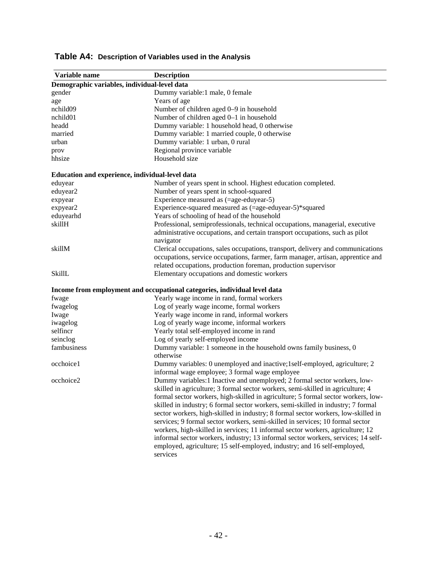| Variable name                                   | <b>Description</b>                                                                |
|-------------------------------------------------|-----------------------------------------------------------------------------------|
| Demographic variables, individual-level data    |                                                                                   |
| gender                                          | Dummy variable:1 male, 0 female                                                   |
| age                                             | Years of age                                                                      |
| nchild09                                        | Number of children aged 0-9 in household                                          |
| nchild01                                        | Number of children aged 0-1 in household                                          |
| headd                                           | Dummy variable: 1 household head, 0 otherwise                                     |
| married                                         | Dummy variable: 1 married couple, 0 otherwise                                     |
| urban                                           | Dummy variable: 1 urban, 0 rural                                                  |
| prov                                            | Regional province variable                                                        |
| hhsize                                          | Household size                                                                    |
| Education and experience, individual-level data |                                                                                   |
| eduyear                                         | Number of years spent in school. Highest education completed.                     |
| eduyear2                                        | Number of years spent in school-squared                                           |
| expyear                                         | Experience measured as (=age-eduyear-5)                                           |
| expyear2                                        | Experience-squared measured as (=age-eduyear-5)*squared                           |
| eduyearhd                                       | Years of schooling of head of the household                                       |
| skillH                                          | Professional, semiprofessionals, technical occupations, managerial, executive     |
|                                                 | administrative occupations, and certain transport occupations, such as pilot      |
|                                                 | navigator                                                                         |
| skillM                                          | Clerical occupations, sales occupations, transport, delivery and communications   |
|                                                 | occupations, service occupations, farmer, farm manager, artisan, apprentice and   |
|                                                 | related occupations, production foreman, production supervisor                    |
| SkillL                                          | Elementary occupations and domestic workers                                       |
|                                                 | Income from employment and occupational categories, individual level data         |
| fwage                                           | Yearly wage income in rand, formal workers                                        |
| fwagelog                                        | Log of yearly wage income, formal workers                                         |
| Iwage                                           | Yearly wage income in rand, informal workers                                      |
| iwagelog                                        | Log of yearly wage income, informal workers                                       |
| selfincr                                        | Yearly total self-employed income in rand                                         |
| seinclog                                        | Log of yearly self-employed income                                                |
| fambusiness                                     | Dummy variable: 1 someone in the household owns family business, 0                |
|                                                 | otherwise                                                                         |
| occhoice1                                       | Dummy variables: 0 unemployed and inactive;1self-employed, agriculture; 2         |
|                                                 | informal wage employee; 3 formal wage employee                                    |
| occhoice2                                       | Dummy variables:1 Inactive and unemployed; 2 formal sector workers, low-          |
|                                                 | skilled in agriculture; 3 formal sector workers, semi-skilled in agriculture; 4   |
|                                                 | formal sector workers, high-skilled in agriculture; 5 formal sector workers, low- |
|                                                 | skilled in industry; 6 formal sector workers, semi-skilled in industry; 7 formal  |
|                                                 | sector workers, high-skilled in industry; 8 formal sector workers, low-skilled in |
|                                                 | services; 9 formal sector workers, semi-skilled in services; 10 formal sector     |
|                                                 | workers, high-skilled in services; 11 informal sector workers, agriculture; 12    |
|                                                 | informal sector workers, industry; 13 informal sector workers, services; 14 self- |
|                                                 | employed, agriculture; 15 self-employed, industry; and 16 self-employed,          |
|                                                 | services                                                                          |
|                                                 |                                                                                   |

# **Table A4: Description of Variables used in the Analysis**